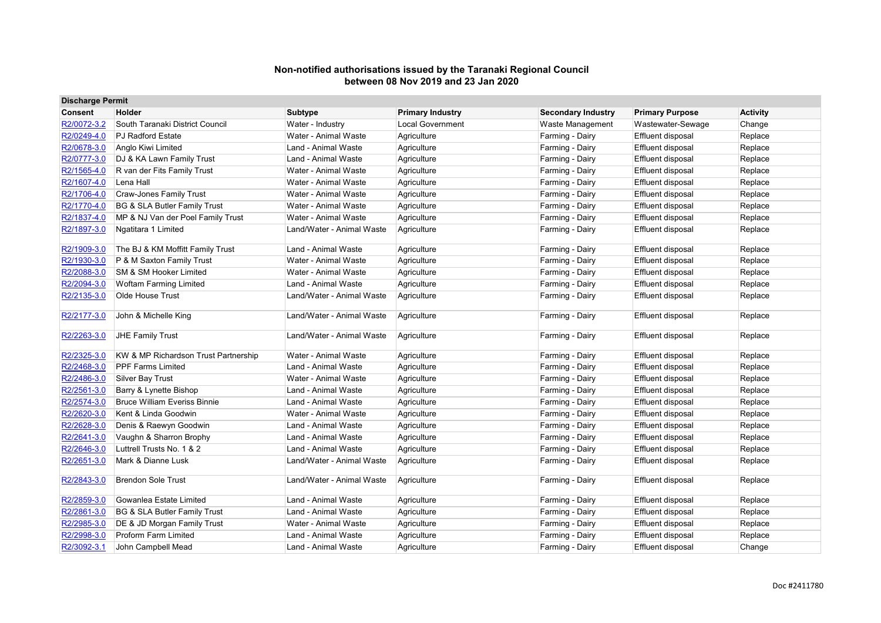| <b>Discharge Permit</b> |                                         |                           |                         |                           |                          |                 |
|-------------------------|-----------------------------------------|---------------------------|-------------------------|---------------------------|--------------------------|-----------------|
| <b>Consent</b>          | Holder                                  | <b>Subtype</b>            | <b>Primary Industry</b> | <b>Secondary Industry</b> | <b>Primary Purpose</b>   | <b>Activity</b> |
| R2/0072-3.2             | South Taranaki District Council         | Water - Industry          | Local Government        | <b>Waste Management</b>   | Wastewater-Sewage        | Change          |
| R2/0249-4.0             | <b>PJ Radford Estate</b>                | Water - Animal Waste      | Agriculture             | Farming - Dairy           | <b>Effluent disposal</b> | Replace         |
| R2/0678-3.0             | Anglo Kiwi Limited                      | Land - Animal Waste       | Agriculture             | Farming - Dairy           | <b>Effluent disposal</b> | Replace         |
| R2/0777-3.0             | DJ & KA Lawn Family Trust               | Land - Animal Waste       | Agriculture             | Farming - Dairy           | <b>Effluent disposal</b> | Replace         |
| R2/1565-4.0             | R van der Fits Family Trust             | Water - Animal Waste      | Agriculture             | Farming - Dairy           | <b>Effluent disposal</b> | Replace         |
| R2/1607-4.0             | Lena Hall                               | Water - Animal Waste      | Agriculture             | Farming - Dairy           | Effluent disposal        | Replace         |
| R2/1706-4.0             | <b>Craw-Jones Family Trust</b>          | Water - Animal Waste      | Agriculture             | Farming - Dairy           | <b>Effluent disposal</b> | Replace         |
| R2/1770-4.0             | BG & SLA Butler Family Trust            | Water - Animal Waste      | Agriculture             | Farming - Dairy           | <b>Effluent disposal</b> | Replace         |
| R2/1837-4.0             | MP & NJ Van der Poel Family Trust       | Water - Animal Waste      | Agriculture             | Farming - Dairy           | <b>Effluent disposal</b> | Replace         |
| R2/1897-3.0             | Ngatitara 1 Limited                     | Land/Water - Animal Waste | Agriculture             | Farming - Dairy           | <b>Effluent disposal</b> | Replace         |
| R2/1909-3.0             | The BJ & KM Moffitt Family Trust        | Land - Animal Waste       | Agriculture             | Farming - Dairy           | Effluent disposal        | Replace         |
| R2/1930-3.0             | P & M Saxton Family Trust               | Water - Animal Waste      | Agriculture             | Farming - Dairy           | <b>Effluent disposal</b> | Replace         |
| R2/2088-3.0             | SM & SM Hooker Limited                  | Water - Animal Waste      | Agriculture             | Farming - Dairy           | <b>Effluent disposal</b> | Replace         |
| R2/2094-3.0             | <b>Woftam Farming Limited</b>           | Land - Animal Waste       | Agriculture             | Farming - Dairy           | <b>Effluent disposal</b> | Replace         |
| R2/2135-3.0             | Olde House Trust                        | Land/Water - Animal Waste | Agriculture             | Farming - Dairy           | <b>Effluent disposal</b> | Replace         |
| R2/2177-3.0             | John & Michelle King                    | Land/Water - Animal Waste | Agriculture             | Farming - Dairy           | <b>Effluent disposal</b> | Replace         |
| R2/2263-3.0             | JHE Family Trust                        | Land/Water - Animal Waste | Agriculture             | Farming - Dairy           | <b>Effluent disposal</b> | Replace         |
| R2/2325-3.0             | KW & MP Richardson Trust Partnership    | Water - Animal Waste      | Agriculture             | Farming - Dairy           | <b>Effluent disposal</b> | Replace         |
| R2/2468-3.0             | <b>PPF Farms Limited</b>                | Land - Animal Waste       | Agriculture             | Farming - Dairy           | <b>Effluent disposal</b> | Replace         |
| R2/2486-3.0             | <b>Silver Bay Trust</b>                 | Water - Animal Waste      | Agriculture             | Farming - Dairy           | <b>Effluent disposal</b> | Replace         |
| R2/2561-3.0             | Barry & Lynette Bishop                  | Land - Animal Waste       | Agriculture             | Farming - Dairy           | Effluent disposal        | Replace         |
| R2/2574-3.0             | <b>Bruce William Everiss Binnie</b>     | Land - Animal Waste       | Agriculture             | Farming - Dairy           | <b>Effluent disposal</b> | Replace         |
| R2/2620-3.0             | Kent & Linda Goodwin                    | Water - Animal Waste      | Agriculture             | Farming - Dairy           | <b>Effluent disposal</b> | Replace         |
| R2/2628-3.0             | Denis & Raewyn Goodwin                  | Land - Animal Waste       | Agriculture             | Farming - Dairy           | <b>Effluent disposal</b> | Replace         |
| R2/2641-3.0             | Vaughn & Sharron Brophy                 | Land - Animal Waste       | Agriculture             | Farming - Dairy           | <b>Effluent disposal</b> | Replace         |
| R2/2646-3.0             | Luttrell Trusts No. 1 & 2               | Land - Animal Waste       | Agriculture             | Farming - Dairy           | <b>Effluent disposal</b> | Replace         |
| R2/2651-3.0             | Mark & Dianne Lusk                      | Land/Water - Animal Waste | Agriculture             | Farming - Dairy           | <b>Effluent disposal</b> | Replace         |
| R2/2843-3.0             | <b>Brendon Sole Trust</b>               | Land/Water - Animal Waste | Agriculture             | Farming - Dairy           | <b>Effluent disposal</b> | Replace         |
| R2/2859-3.0             | Gowanlea Estate Limited                 | Land - Animal Waste       | Agriculture             | Farming - Dairy           | <b>Effluent disposal</b> | Replace         |
| R2/2861-3.0             | <b>BG &amp; SLA Butler Family Trust</b> | Land - Animal Waste       | Agriculture             | Farming - Dairy           | Effluent disposal        | Replace         |
| R2/2985-3.0             | DE & JD Morgan Family Trust             | Water - Animal Waste      | Agriculture             | Farming - Dairy           | <b>Effluent disposal</b> | Replace         |
| R2/2998-3.0             | Proform Farm Limited                    | Land - Animal Waste       | Agriculture             | Farming - Dairy           | <b>Effluent disposal</b> | Replace         |
| R2/3092-3.1             | John Campbell Mead                      | Land - Animal Waste       | Agriculture             | Farming - Dairy           | Effluent disposal        | Change          |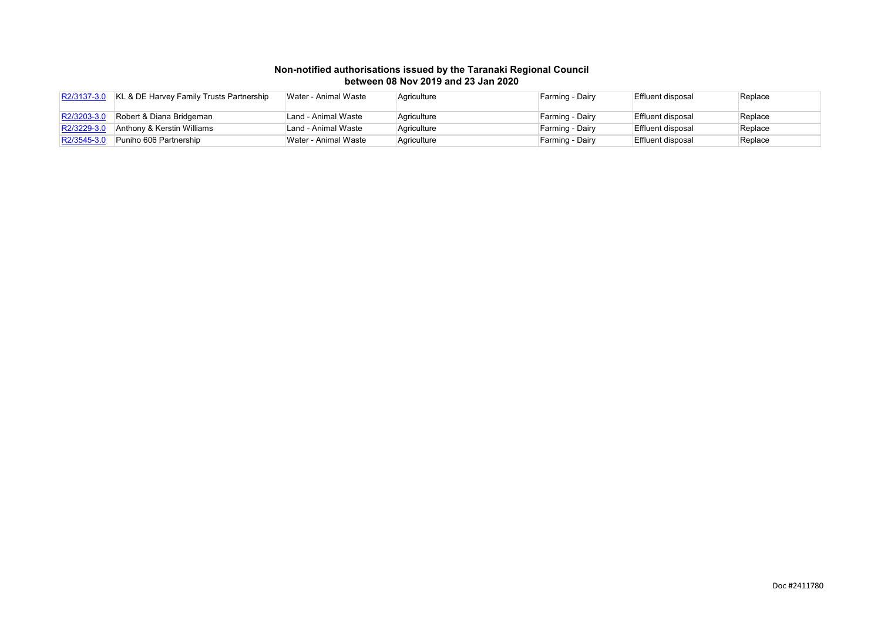| R2/3137-3.0    | KL & DE Harvey Family Trusts Partnership | Water - Animal Waste | Agriculture | Farming - Dairy | Effluent disposal | Replace |
|----------------|------------------------------------------|----------------------|-------------|-----------------|-------------------|---------|
| $ R2/3203-3.0$ | Robert & Diana Bridgeman                 | Land - Animal Waste  | Agriculture | Farming - Dairy | Effluent disposal | Replace |
| R2/3229-3.     | Anthony & Kerstin Williams               | Land - Animal Waste  | Agriculture | Farming - Dairy | Effluent disposal | Replace |
| R2/3545-3.0    | Puniho 606 Partnership                   | Water - Animal Waste | Agriculture | Farming - Dairy | Effluent disposal | Replace |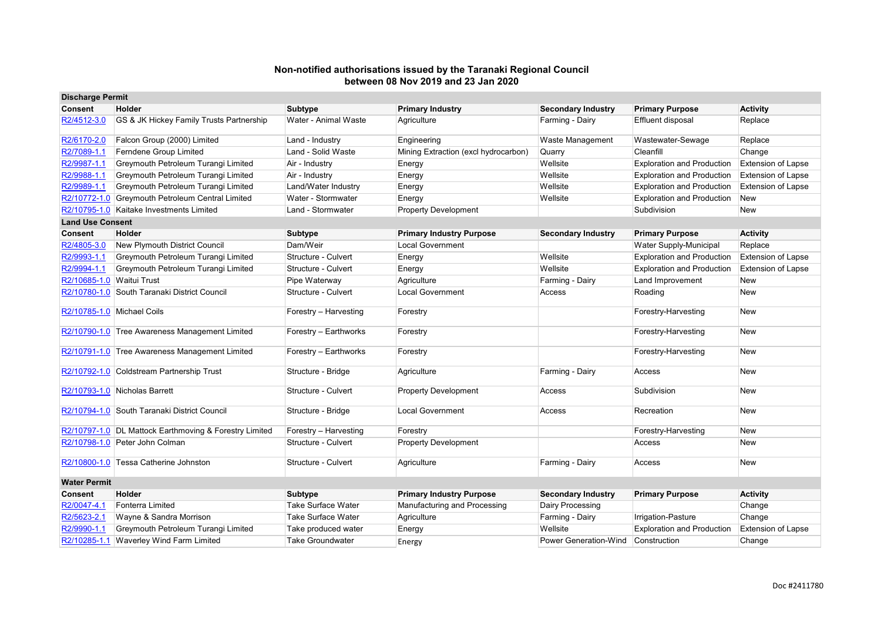| <b>Discharge Permit</b> |                                                        |                           |                                      |                           |                                   |                           |
|-------------------------|--------------------------------------------------------|---------------------------|--------------------------------------|---------------------------|-----------------------------------|---------------------------|
| <b>Consent</b>          | Holder                                                 | <b>Subtype</b>            | <b>Primary Industry</b>              | <b>Secondary Industry</b> | <b>Primary Purpose</b>            | <b>Activity</b>           |
| R2/4512-3.0             | GS & JK Hickey Family Trusts Partnership               | Water - Animal Waste      | Agriculture                          | Farming - Dairy           | Effluent disposal                 | Replace                   |
| R2/6170-2.0             | Falcon Group (2000) Limited                            | Land - Industry           | Engineering                          | Waste Management          | Wastewater-Sewage                 | Replace                   |
| R2/7089-1.1             | Ferndene Group Limited                                 | Land - Solid Waste        | Mining Extraction (excl hydrocarbon) | Quarry                    | Cleanfill                         | Change                    |
| R2/9987-1.1             | Greymouth Petroleum Turangi Limited                    | Air - Industry            | Energy                               | Wellsite                  | <b>Exploration and Production</b> | <b>Extension of Lapse</b> |
| R2/9988-1.1             | Greymouth Petroleum Turangi Limited                    | Air - Industry            | Energy                               | Wellsite                  | <b>Exploration and Production</b> | <b>Extension of Lapse</b> |
| R2/9989-1.1             | Greymouth Petroleum Turangi Limited                    | Land/Water Industry       | Energy                               | Wellsite                  | <b>Exploration and Production</b> | <b>Extension of Lapse</b> |
|                         | R2/10772-1.0 Greymouth Petroleum Central Limited       | Water - Stormwater        | Energy                               | Wellsite                  | <b>Exploration and Production</b> | New                       |
|                         | R2/10795-1.0 Kaitake Investments Limited               | Land - Stormwater         | <b>Property Development</b>          |                           | Subdivision                       | <b>New</b>                |
| <b>Land Use Consent</b> |                                                        |                           |                                      |                           |                                   |                           |
| Consent                 | Holder                                                 | Subtype                   | <b>Primary Industry Purpose</b>      | <b>Secondary Industry</b> | <b>Primary Purpose</b>            | <b>Activity</b>           |
| R2/4805-3.0             | New Plymouth District Council                          | Dam/Weir                  | <b>Local Government</b>              |                           | Water Supply-Municipal            | Replace                   |
| R2/9993-1.1             | Greymouth Petroleum Turangi Limited                    | Structure - Culvert       | Energy                               | Wellsite                  | <b>Exploration and Production</b> | <b>Extension of Lapse</b> |
| R2/9994-1.1             | Greymouth Petroleum Turangi Limited                    | Structure - Culvert       | Energy                               | Wellsite                  | <b>Exploration and Production</b> | <b>Extension of Lapse</b> |
|                         | R2/10685-1.0 Waitui Trust                              | Pipe Waterway             | Agriculture                          | Farming - Dairy           | Land Improvement                  | <b>New</b>                |
|                         | R2/10780-1.0 South Taranaki District Council           | Structure - Culvert       | <b>Local Government</b>              | Access                    | Roading                           | New                       |
|                         | R2/10785-1.0 Michael Coils                             | Forestry - Harvesting     | Forestry                             |                           | Forestry-Harvesting               | New                       |
|                         | R2/10790-1.0 Tree Awareness Management Limited         | Forestry - Earthworks     | Forestry                             |                           | Forestry-Harvesting               | <b>New</b>                |
|                         | R2/10791-1.0 Tree Awareness Management Limited         | Forestry - Earthworks     | Forestry                             |                           | Forestry-Harvesting               | <b>New</b>                |
|                         | R2/10792-1.0 Coldstream Partnership Trust              | Structure - Bridge        | Agriculture                          | Farming - Dairy           | Access                            | <b>New</b>                |
|                         | R2/10793-1.0 Nicholas Barrett                          | Structure - Culvert       | <b>Property Development</b>          | Access                    | Subdivision                       | <b>New</b>                |
|                         | R2/10794-1.0 South Taranaki District Council           | Structure - Bridge        | <b>Local Government</b>              | Access                    | Recreation                        | <b>New</b>                |
|                         | R2/10797-1.0 DL Mattock Earthmoving & Forestry Limited | Forestry - Harvesting     | Forestry                             |                           | Forestry-Harvesting               | <b>New</b>                |
|                         | R2/10798-1.0 Peter John Colman                         | Structure - Culvert       | <b>Property Development</b>          |                           | Access                            | <b>New</b>                |
|                         | R2/10800-1.0 Tessa Catherine Johnston                  | Structure - Culvert       | Agriculture                          | Farming - Dairy           | Access                            | <b>New</b>                |
| <b>Water Permit</b>     |                                                        |                           |                                      |                           |                                   |                           |
| <b>Consent</b>          | Holder                                                 | <b>Subtype</b>            | <b>Primary Industry Purpose</b>      | <b>Secondary Industry</b> | <b>Primary Purpose</b>            | <b>Activity</b>           |
| R2/0047-4.1             | Fonterra Limited                                       | <b>Take Surface Water</b> | Manufacturing and Processing         | Dairy Processing          |                                   | Change                    |
| R2/5623-2.1             | Wayne & Sandra Morrison                                | <b>Take Surface Water</b> | Agriculture                          | Farming - Dairy           | Irrigation-Pasture                | Change                    |
| R2/9990-1.1             | Greymouth Petroleum Turangi Limited                    | Take produced water       | Energy                               | Wellsite                  | <b>Exploration and Production</b> | <b>Extension of Lapse</b> |
|                         | R2/10285-1.1 Waverley Wind Farm Limited                | <b>Take Groundwater</b>   | Energy                               | Power Generation-Wind     | Construction                      | Change                    |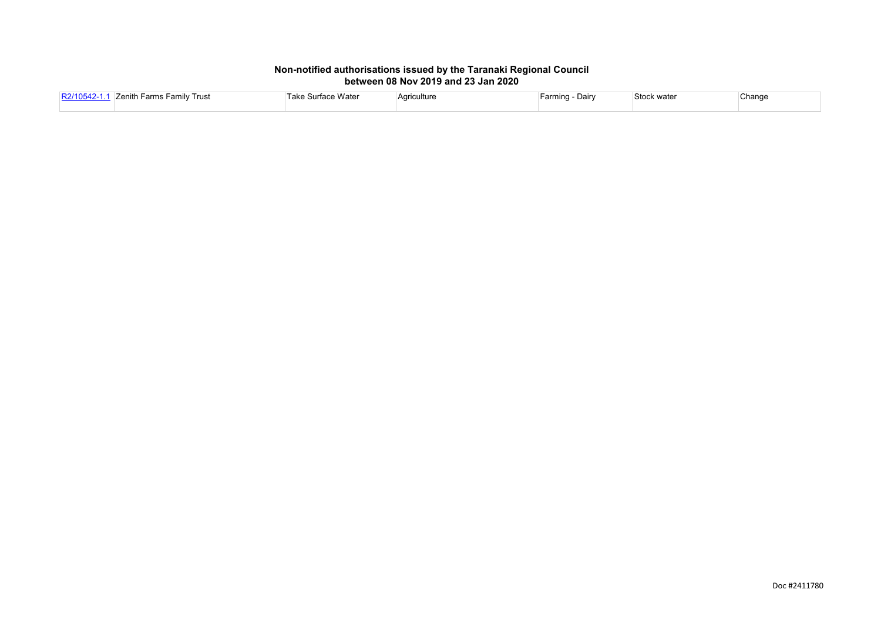| <b>וחויורם</b> | <b>Family Trust</b><br><sup>⊑</sup> arms<br>Zenith | face Wate<br><br>1.25<br>TANG OUT | Agriculture | Farming<br>Dairv | Stock water | Change |
|----------------|----------------------------------------------------|-----------------------------------|-------------|------------------|-------------|--------|
|                |                                                    |                                   |             |                  |             |        |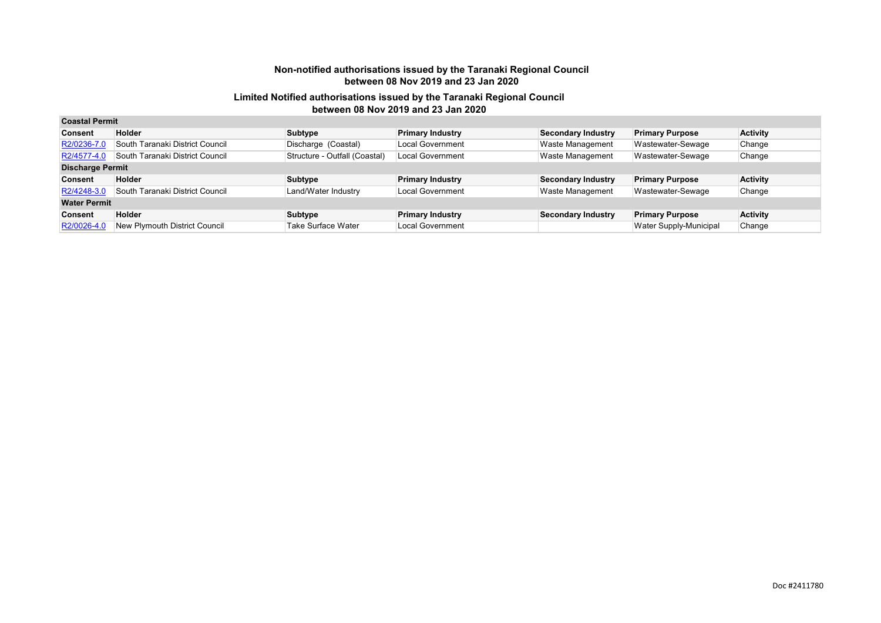| <b>Coastal Permit</b>   |                                 |                               |                         |                           |                        |                 |
|-------------------------|---------------------------------|-------------------------------|-------------------------|---------------------------|------------------------|-----------------|
| <b>Consent</b>          | <b>Holder</b>                   | Subtype                       | <b>Primary Industry</b> | <b>Secondary Industry</b> | <b>Primary Purpose</b> | <b>Activity</b> |
| R2/0236-7.0             | South Taranaki District Council | Discharge (Coastal)           | <b>Local Government</b> | <b>Waste Management</b>   | Wastewater-Sewage      | Change          |
| R2/4577-4.0             | South Taranaki District Council | Structure - Outfall (Coastal) | <b>Local Government</b> | <b>Waste Management</b>   | Wastewater-Sewage      | Change          |
| <b>Discharge Permit</b> |                                 |                               |                         |                           |                        |                 |
| <b>Consent</b>          | Holder                          | Subtype                       | <b>Primary Industry</b> | <b>Secondary Industry</b> | <b>Primary Purpose</b> | <b>Activity</b> |
| R2/4248-3.0             | South Taranaki District Council | Land/Water Industry           | <b>Local Government</b> | <b>Waste Management</b>   | Wastewater-Sewage      | Change          |
| <b>Water Permit</b>     |                                 |                               |                         |                           |                        |                 |
| <b>Consent</b>          | <b>Holder</b>                   | Subtype                       | <b>Primary Industry</b> | <b>Secondary Industry</b> | <b>Primary Purpose</b> | <b>Activity</b> |
| R2/0026-4.0             | New Plymouth District Council   | Take Surface Water            | Local Government        |                           | Water Supply-Municipal | Change          |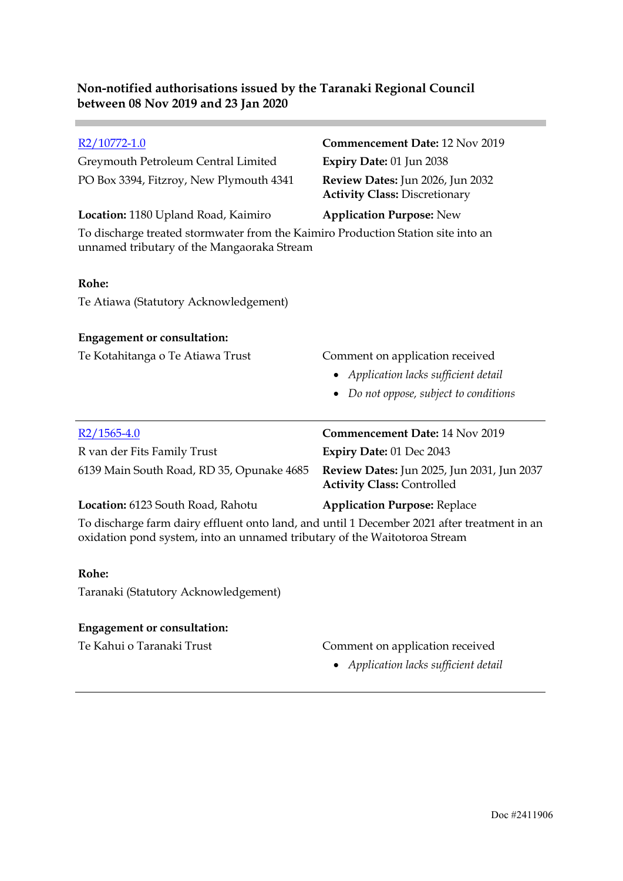| $R2/10772-1.0$                                                                                                                 | <b>Commencement Date: 12 Nov 2019</b>                                           |
|--------------------------------------------------------------------------------------------------------------------------------|---------------------------------------------------------------------------------|
| Greymouth Petroleum Central Limited                                                                                            | Expiry Date: 01 Jun 2038                                                        |
| PO Box 3394, Fitzroy, New Plymouth 4341                                                                                        | Review Dates: Jun 2026, Jun 2032<br><b>Activity Class: Discretionary</b>        |
| Location: 1180 Upland Road, Kaimiro                                                                                            | <b>Application Purpose: New</b>                                                 |
| To discharge treated stormwater from the Kaimiro Production Station site into an<br>unnamed tributary of the Mangaoraka Stream |                                                                                 |
| Rohe:                                                                                                                          |                                                                                 |
| Te Atiawa (Statutory Acknowledgement)                                                                                          |                                                                                 |
| <b>Engagement or consultation:</b>                                                                                             |                                                                                 |
| Te Kotahitanga o Te Atiawa Trust                                                                                               | Comment on application received                                                 |
|                                                                                                                                | • Application lacks sufficient detail                                           |
|                                                                                                                                | Do not oppose, subject to conditions                                            |
| $R2/1565-4.0$                                                                                                                  | Commencement Date: 14 Nov 2019                                                  |
| R van der Fits Family Trust                                                                                                    | Expiry Date: 01 Dec 2043                                                        |
| 6139 Main South Road, RD 35, Opunake 4685                                                                                      | Review Dates: Jun 2025, Jun 2031, Jun 2037<br><b>Activity Class: Controlled</b> |
| Location: 6123 South Road, Rahotu                                                                                              | <b>Application Purpose: Replace</b>                                             |
| To discharge farm dairy effluent onto land, and until 1 December 2021 after treatment in an                                    |                                                                                 |

oxidation pond system, into an unnamed tributary of the Waitotoroa Stream

#### **Rohe:**

**Contract** 

Taranaki (Statutory Acknowledgement)

### **Engagement or consultation:**

- Te Kahui o Taranaki Trust Comment on application received
	- *Application lacks sufficient detail*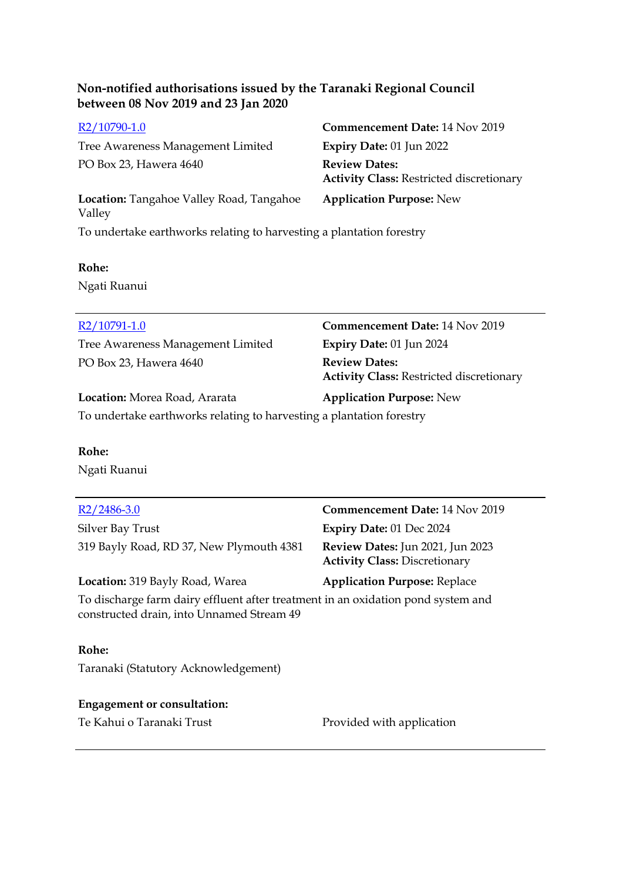Tree Awareness Management Limited **Expiry Date:** 01 Jun 2022 PO Box 23, Hawera 4640 **Review Dates:** 

[R2/10790-1.0](http://irisprod.trc.govt.nz/IRISObjectRouter.aspx?IRISObjectID=781022) **Commencement Date:** 14 Nov 2019 **Activity Class:** Restricted discretionary **Application Purpose:** New

**Location:** Tangahoe Valley Road, Tangahoe Valley To undertake earthworks relating to harvesting a plantation forestry

#### **Rohe:**

Ngati Ruanui

Tree Awareness Management Limited **Expiry Date:** 01 Jun 2024 PO Box 23, Hawera 4640 **Review Dates:** 

[R2/10791-1.0](http://irisprod.trc.govt.nz/IRISObjectRouter.aspx?IRISObjectID=781103) **Commencement Date:** 14 Nov 2019 **Activity Class:** Restricted discretionary

**Location:** Morea Road, Ararata **Application Purpose:** New

To undertake earthworks relating to harvesting a plantation forestry

### **Rohe:**

Ngati Ruanui

Silver Bay Trust **Expiry Date:** 01 Dec 2024 319 Bayly Road, RD 37, New Plymouth 4381 **Review Dates:** Jun 2021, Jun 2023

[R2/2486-3.0](http://irisprod.trc.govt.nz/IRISObjectRouter.aspx?IRISObjectID=781115) **Commencement Date:** 14 Nov 2019 **Activity Class:** Discretionary

#### **Location:** 319 Bayly Road, Warea **Application Purpose:** Replace

To discharge farm dairy effluent after treatment in an oxidation pond system and constructed drain, into Unnamed Stream 49

#### **Rohe:**

Taranaki (Statutory Acknowledgement)

# **Engagement or consultation:**

Te Kahui o Taranaki Trust Provided with application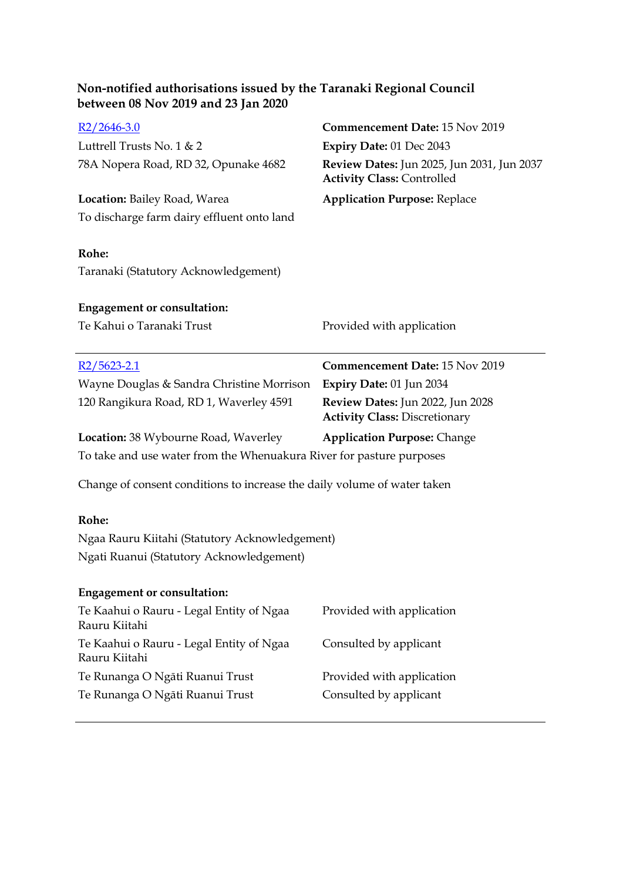| Non-notified authorisations issued by the Taranaki Regional Council<br>between 08 Nov 2019 and 23 Jan 2020 |                                                                                 |  |  |  |
|------------------------------------------------------------------------------------------------------------|---------------------------------------------------------------------------------|--|--|--|
| $R2/2646-3.0$                                                                                              | <b>Commencement Date: 15 Nov 2019</b>                                           |  |  |  |
| Luttrell Trusts No. 1 & 2                                                                                  | Expiry Date: 01 Dec 2043                                                        |  |  |  |
| 78A Nopera Road, RD 32, Opunake 4682                                                                       | Review Dates: Jun 2025, Jun 2031, Jun 2037<br><b>Activity Class: Controlled</b> |  |  |  |
| Location: Bailey Road, Warea                                                                               | <b>Application Purpose: Replace</b>                                             |  |  |  |
| To discharge farm dairy effluent onto land                                                                 |                                                                                 |  |  |  |
| Rohe:                                                                                                      |                                                                                 |  |  |  |
| Taranaki (Statutory Acknowledgement)                                                                       |                                                                                 |  |  |  |
| <b>Engagement or consultation:</b>                                                                         |                                                                                 |  |  |  |
| Te Kahui o Taranaki Trust                                                                                  | Provided with application                                                       |  |  |  |
| $R2/5623 - 2.1$                                                                                            | Commencement Date: 15 Nov 2019                                                  |  |  |  |
| Wayne Douglas & Sandra Christine Morrison                                                                  | Expiry Date: 01 Jun 2034                                                        |  |  |  |
| 120 Rangikura Road, RD 1, Waverley 4591                                                                    | Review Dates: Jun 2022, Jun 2028<br><b>Activity Class: Discretionary</b>        |  |  |  |
| Location: 38 Wybourne Road, Waverley                                                                       | <b>Application Purpose: Change</b>                                              |  |  |  |
| To take and use water from the Whenuakura River for pasture purposes                                       |                                                                                 |  |  |  |
| Change of consent conditions to increase the daily volume of water taken                                   |                                                                                 |  |  |  |
| Rohe:                                                                                                      |                                                                                 |  |  |  |
| Ngaa Rauru Kiitahi (Statutory Acknowledgement)                                                             |                                                                                 |  |  |  |
| Ngati Ruanui (Statutory Acknowledgement)                                                                   |                                                                                 |  |  |  |
| <b>Engagement or consultation:</b>                                                                         |                                                                                 |  |  |  |
| Te Kaahui o Rauru - Legal Entity of Ngaa<br>Rauru Kiitahi                                                  | Provided with application                                                       |  |  |  |
| Te Kaahui o Rauru - Legal Entity of Ngaa<br>Rauru Kiitahi                                                  | Consulted by applicant                                                          |  |  |  |
| Te Runanga O Ngāti Ruanui Trust                                                                            | Provided with application                                                       |  |  |  |
| Te Runanga O Ngāti Ruanui Trust                                                                            | Consulted by applicant                                                          |  |  |  |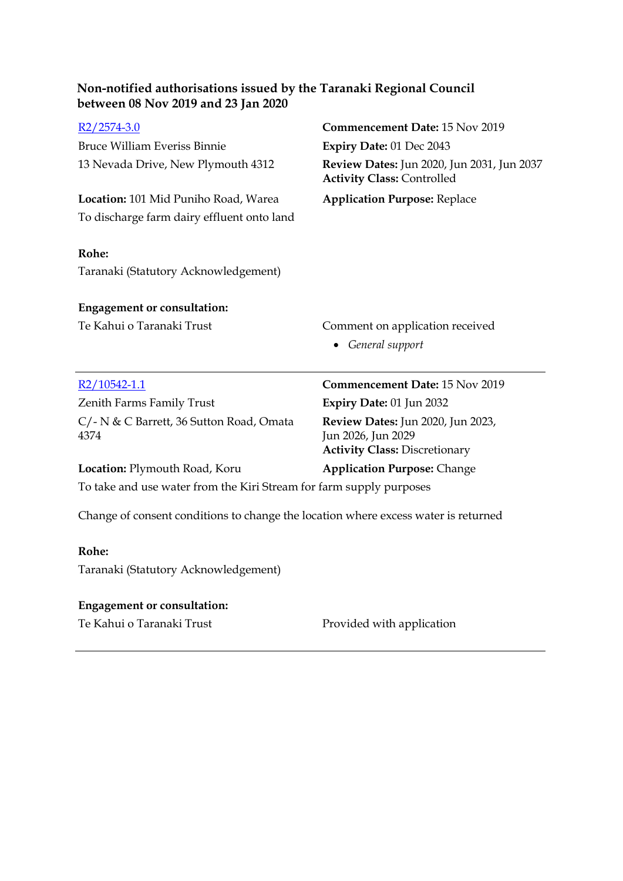| Non-notified authorisations issued by the Taranaki Regional Council<br>between 08 Nov 2019 and 23 Jan 2020 |                                                                                 |
|------------------------------------------------------------------------------------------------------------|---------------------------------------------------------------------------------|
| $R2/2574-3.0$                                                                                              | Commencement Date: 15 Nov 2019                                                  |
| <b>Bruce William Everiss Binnie</b>                                                                        | Expiry Date: 01 Dec 2043                                                        |
| 13 Nevada Drive, New Plymouth 4312                                                                         | Review Dates: Jun 2020, Jun 2031, Jun 2037<br><b>Activity Class: Controlled</b> |
| Location: 101 Mid Puniho Road, Warea                                                                       | <b>Application Purpose: Replace</b>                                             |
| To discharge farm dairy effluent onto land                                                                 |                                                                                 |
| Rohe:                                                                                                      |                                                                                 |
| Taranaki (Statutory Acknowledgement)                                                                       |                                                                                 |
| <b>Engagement or consultation:</b>                                                                         |                                                                                 |
| Te Kahui o Taranaki Trust                                                                                  | Comment on application received                                                 |
|                                                                                                            | • General support                                                               |
| $R2/10542-1.1$                                                                                             | Commencement Date: 15 Nov 2019                                                  |
| Zenith Farms Family Trust                                                                                  | Expiry Date: 01 Jun 2032                                                        |
| C/- N & C Barrett, 36 Sutton Road, Omata<br>4374                                                           | Review Dates: Jun 2020, Jun 2023,<br>Jun 2026, Jun 2029                         |
|                                                                                                            | <b>Activity Class: Discretionary</b>                                            |
| Location: Plymouth Road, Koru                                                                              | <b>Application Purpose: Change</b>                                              |
| To take and use water from the Kiri Stream for farm supply purposes                                        |                                                                                 |
| Change of consent conditions to change the location where excess water is returned                         |                                                                                 |
| Rohe:                                                                                                      |                                                                                 |
| Taranaki (Statutory Acknowledgement)                                                                       |                                                                                 |

### **Engagement or consultation:**

Te Kahui o Taranaki Trust **Provided with application**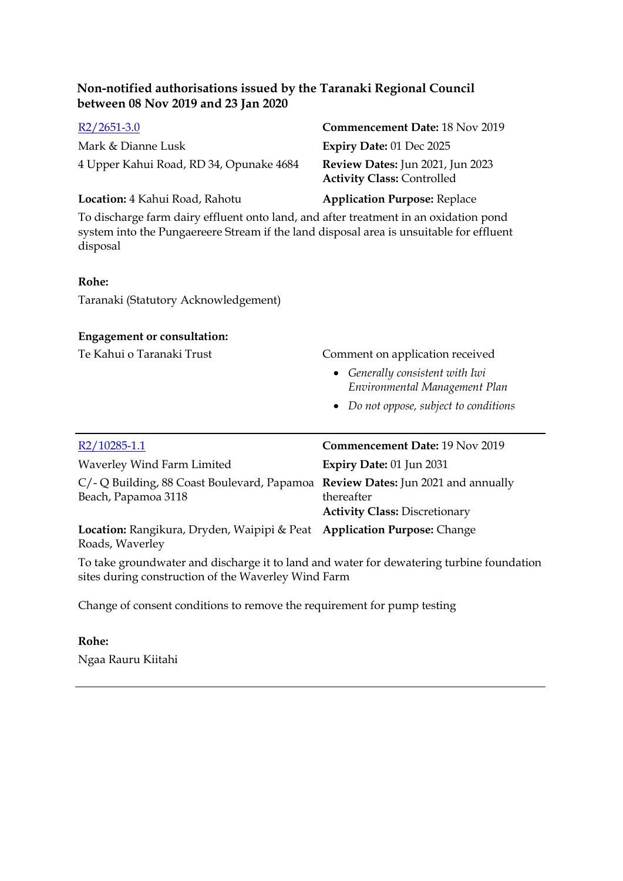| $R2/2651-3.0$                           | <b>Commencement Date: 18 Nov 2019</b>                                        |
|-----------------------------------------|------------------------------------------------------------------------------|
| Mark & Dianne Lusk                      | <b>Expiry Date: 01 Dec 2025</b>                                              |
| 4 Upper Kahui Road, RD 34, Opunake 4684 | <b>Review Dates:</b> Jun 2021, Jun 2023<br><b>Activity Class: Controlled</b> |
| Location: 4 Kahui Road, Rahotu          | <b>Application Purpose: Replace</b>                                          |

To discharge farm dairy effluent onto land, and after treatment in an oxidation pond system into the Pungaereere Stream if the land disposal area is unsuitable for effluent disposal

#### **Rohe:**

Taranaki (Statutory Acknowledgement)

#### **Engagement or consultation:**

Te Kahui o Taranaki Trust Comment on application received

- *Generally consistent with Iwi Environmental Management Plan*
- *Do not oppose, subject to conditions*

| R2/10285-1.1                                                                                           | Commencement Date: 19 Nov 2019                     |
|--------------------------------------------------------------------------------------------------------|----------------------------------------------------|
| Waverley Wind Farm Limited                                                                             | Expiry Date: 01 Jun 2031                           |
| C/- Q Building, 88 Coast Boulevard, Papamoa Review Dates: Jun 2021 and annually<br>Beach, Papamoa 3118 | thereafter<br><b>Activity Class: Discretionary</b> |
| Location: Rangikura, Dryden, Waipipi & Peat Application Purpose: Change<br>Roads, Waverley             |                                                    |

To take groundwater and discharge it to land and water for dewatering turbine foundation sites during construction of the Waverley Wind Farm

Change of consent conditions to remove the requirement for pump testing

#### **Rohe:**

Ngaa Rauru Kiitahi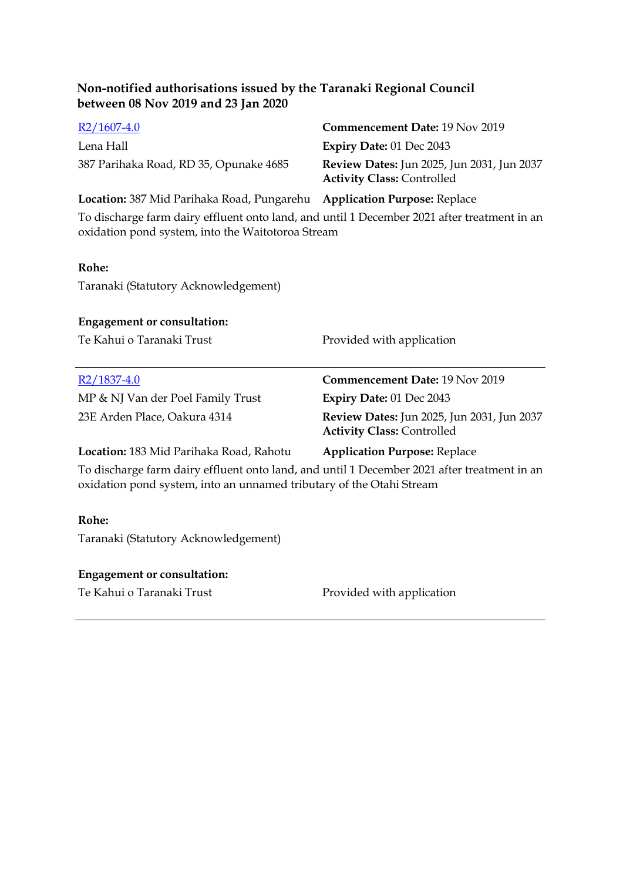| $R2/1607-4.0$                          | <b>Commencement Date: 19 Nov 2019</b>                                                  |
|----------------------------------------|----------------------------------------------------------------------------------------|
| Lena Hall                              | Expiry Date: $01$ Dec 2043                                                             |
| 387 Parihaka Road, RD 35, Opunake 4685 | <b>Review Dates:</b> Jun 2025, Jun 2031, Jun 2037<br><b>Activity Class: Controlled</b> |

**Location:** 387 Mid Parihaka Road, Pungarehu **Application Purpose:** Replace

To discharge farm dairy effluent onto land, and until 1 December 2021 after treatment in an oxidation pond system, into the Waitotoroa Stream

#### **Rohe:**

Taranaki (Statutory Acknowledgement)

#### **Engagement or consultation:**

Te Kahui o Taranaki Trust Provided with application

MP & NJ Van der Poel Family Trust **Expiry Date:** 01 Dec 2043

[R2/1837-4.0](http://irisprod.trc.govt.nz/IRISObjectRouter.aspx?IRISObjectID=781328) **Commencement Date:** 19 Nov 2019 23E Arden Place, Oakura 4314 **Review Dates:** Jun 2025, Jun 2031, Jun 2037 **Activity Class:** Controlled

#### **Location:** 183 Mid Parihaka Road, Rahotu **Application Purpose:** Replace

To discharge farm dairy effluent onto land, and until 1 December 2021 after treatment in an oxidation pond system, into an unnamed tributary of the Otahi Stream

#### **Rohe:**

Taranaki (Statutory Acknowledgement)

#### **Engagement or consultation:**

Te Kahui o Taranaki Trust Provided with application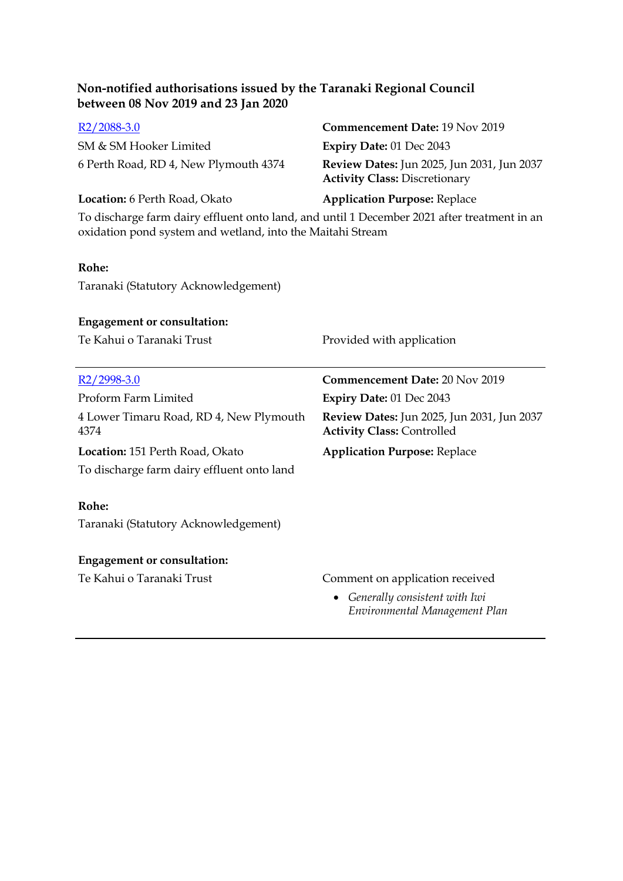SM & SM Hooker Limited **Expiry Date:** 01 Dec 2043

# [R2/2088-3.0](http://irisprod.trc.govt.nz/IRISObjectRouter.aspx?IRISObjectID=781344) **Commencement Date:** 19 Nov 2019 6 Perth Road, RD 4, New Plymouth 4374 **Review Dates:** Jun 2025, Jun 2031, Jun 2037 **Activity Class:** Discretionary

#### **Location:** 6 Perth Road, Okato **Application Purpose:** Replace

To discharge farm dairy effluent onto land, and until 1 December 2021 after treatment in an oxidation pond system and wetland, into the Maitahi Stream

#### **Rohe:**

Taranaki (Statutory Acknowledgement)

#### **Engagement or consultation:**

Te Kahui o Taranaki Trust Provided with application

| R <sub>2</sub> /2998-3.0                        | <b>Commencement Date: 20 Nov 2019</b>                                                  |
|-------------------------------------------------|----------------------------------------------------------------------------------------|
| Proform Farm Limited                            | <b>Expiry Date: 01 Dec 2043</b>                                                        |
| 4 Lower Timaru Road, RD 4, New Plymouth<br>4374 | <b>Review Dates:</b> Jun 2025, Jun 2031, Jun 2037<br><b>Activity Class: Controlled</b> |
| Location: 151 Perth Road, Okato                 | <b>Application Purpose: Replace</b>                                                    |
| To discharge farm dairy effluent onto land      |                                                                                        |
|                                                 |                                                                                        |
| Rohe:                                           |                                                                                        |
| Taranaki (Statutory Acknowledgement)            |                                                                                        |
|                                                 |                                                                                        |
| <b>Engagement or consultation:</b>              |                                                                                        |
| Te Kahui o Taranaki Trust                       | Comment on application received                                                        |
|                                                 | • Generally consistent with Iwi<br>Environmental Management Plan                       |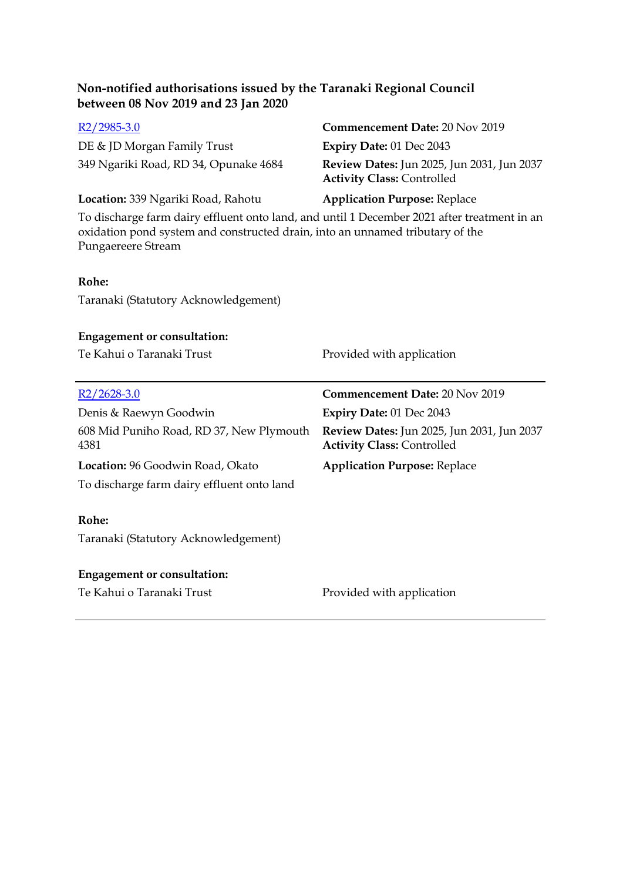| Non-notified authorisations issued by the Taranaki Regional Council<br>between 08 Nov 2019 and 23 Jan 2020                                                                                         |                                                                                 |  |
|----------------------------------------------------------------------------------------------------------------------------------------------------------------------------------------------------|---------------------------------------------------------------------------------|--|
| $R2/2985-3.0$                                                                                                                                                                                      | Commencement Date: 20 Nov 2019                                                  |  |
| DE & JD Morgan Family Trust                                                                                                                                                                        | Expiry Date: 01 Dec 2043                                                        |  |
| 349 Ngariki Road, RD 34, Opunake 4684                                                                                                                                                              | Review Dates: Jun 2025, Jun 2031, Jun 2037<br><b>Activity Class: Controlled</b> |  |
| Location: 339 Ngariki Road, Rahotu                                                                                                                                                                 | <b>Application Purpose: Replace</b>                                             |  |
| To discharge farm dairy effluent onto land, and until 1 December 2021 after treatment in an<br>oxidation pond system and constructed drain, into an unnamed tributary of the<br>Pungaereere Stream |                                                                                 |  |
| Rohe:                                                                                                                                                                                              |                                                                                 |  |
| Taranaki (Statutory Acknowledgement)                                                                                                                                                               |                                                                                 |  |
| <b>Engagement or consultation:</b><br>Te Kahui o Taranaki Trust                                                                                                                                    | Provided with application                                                       |  |
| $R2/2628-3.0$                                                                                                                                                                                      | <b>Commencement Date: 20 Nov 2019</b>                                           |  |
| Denis & Raewyn Goodwin                                                                                                                                                                             | Expiry Date: 01 Dec 2043                                                        |  |
| 608 Mid Puniho Road, RD 37, New Plymouth<br>4381                                                                                                                                                   | Review Dates: Jun 2025, Jun 2031, Jun 2037<br><b>Activity Class: Controlled</b> |  |
| Location: 96 Goodwin Road, Okato                                                                                                                                                                   | <b>Application Purpose: Replace</b>                                             |  |
| To discharge farm dairy effluent onto land                                                                                                                                                         |                                                                                 |  |
| Rohe:                                                                                                                                                                                              |                                                                                 |  |
| Taranaki (Statutory Acknowledgement)                                                                                                                                                               |                                                                                 |  |
|                                                                                                                                                                                                    |                                                                                 |  |
| <b>Engagement or consultation:</b>                                                                                                                                                                 |                                                                                 |  |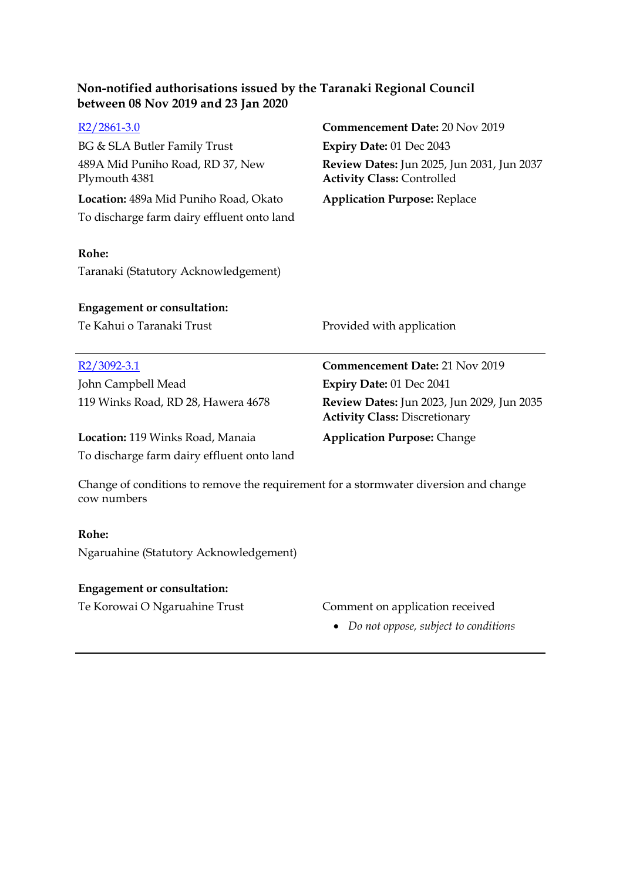| R <sub>2</sub> /2861-3.0                          | Commencement Date: 20 Nov 2019                                                         |
|---------------------------------------------------|----------------------------------------------------------------------------------------|
| <b>BG &amp; SLA Butler Family Trust</b>           | Expiry Date: 01 Dec 2043                                                               |
| 489A Mid Puniho Road, RD 37, New<br>Plymouth 4381 | <b>Review Dates: Jun 2025, Jun 2031, Jun 2037</b><br><b>Activity Class: Controlled</b> |
| Location: 489a Mid Puniho Road, Okato             | <b>Application Purpose: Replace</b>                                                    |
| To discharge farm dairy effluent onto land        |                                                                                        |
| Rohe:                                             |                                                                                        |
| Taranaki (Statutory Acknowledgement)              |                                                                                        |
| <b>Engagement or consultation:</b>                |                                                                                        |
| Te Kahui o Taranaki Trust                         | Provided with application                                                              |
| <u>R2/3092-3.1</u>                                | Commencement Date: 21 Nov 2019                                                         |
| John Campbell Mead                                | Expiry Date: 01 Dec 2041                                                               |
| 119 Winks Road, RD 28, Hawera 4678                | Review Dates: Jun 2023, Jun 2029, Jun 2035<br><b>Activity Class: Discretionary</b>     |
| Location: 119 Winks Road, Manaia                  | <b>Application Purpose: Change</b>                                                     |
| To discharge farm dairy effluent onto land        |                                                                                        |
|                                                   |                                                                                        |

Change of conditions to remove the requirement for a stormwater diversion and change cow numbers

#### **Rohe:**

 $\overline{a}$ 

Ngaruahine (Statutory Acknowledgement)

## **Engagement or consultation:**

### Te Korowai O Ngaruahine Trust Comment on application received

*Do not oppose, subject to conditions*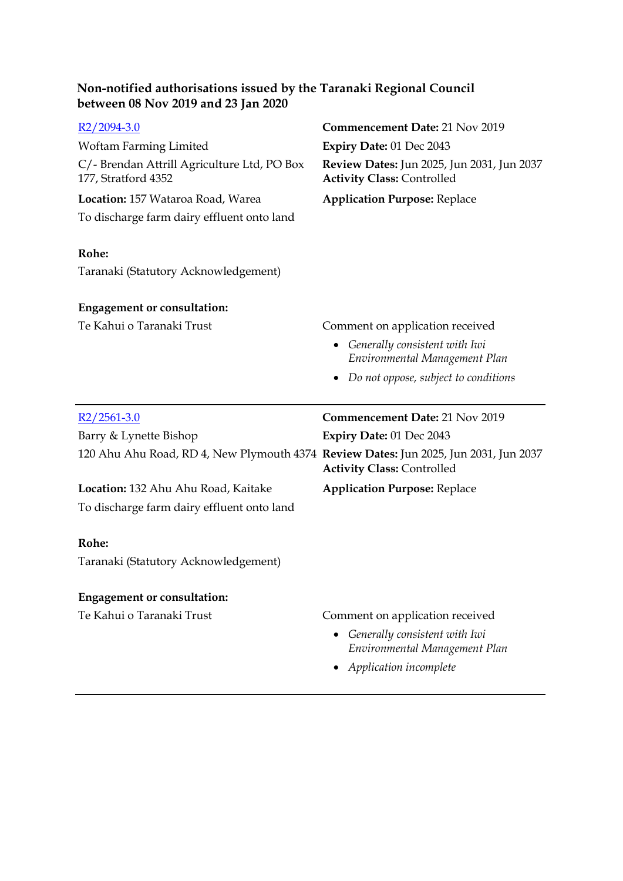| $R2/2094-3.0$                                                                        | <b>Commencement Date: 21 Nov 2019</b>                                           |
|--------------------------------------------------------------------------------------|---------------------------------------------------------------------------------|
| Woftam Farming Limited                                                               | Expiry Date: 01 Dec 2043                                                        |
| C/- Brendan Attrill Agriculture Ltd, PO Box<br>177, Stratford 4352                   | Review Dates: Jun 2025, Jun 2031, Jun 2037<br><b>Activity Class: Controlled</b> |
| Location: 157 Wataroa Road, Warea                                                    | <b>Application Purpose: Replace</b>                                             |
| To discharge farm dairy effluent onto land                                           |                                                                                 |
|                                                                                      |                                                                                 |
| Rohe:                                                                                |                                                                                 |
| Taranaki (Statutory Acknowledgement)                                                 |                                                                                 |
|                                                                                      |                                                                                 |
| <b>Engagement or consultation:</b>                                                   |                                                                                 |
| Te Kahui o Taranaki Trust                                                            | Comment on application received                                                 |
|                                                                                      | Generally consistent with Iwi<br>٠<br>Environmental Management Plan             |
|                                                                                      | Do not oppose, subject to conditions                                            |
|                                                                                      |                                                                                 |
|                                                                                      |                                                                                 |
| $R2/2561-3.0$                                                                        | Commencement Date: 21 Nov 2019                                                  |
| Barry & Lynette Bishop                                                               | <b>Expiry Date: 01 Dec 2043</b>                                                 |
| 120 Ahu Ahu Road, RD 4, New Plymouth 4374 Review Dates: Jun 2025, Jun 2031, Jun 2037 | <b>Activity Class: Controlled</b>                                               |
| Location: 132 Ahu Ahu Road, Kaitake                                                  | <b>Application Purpose: Replace</b>                                             |
| To discharge farm dairy effluent onto land                                           |                                                                                 |
|                                                                                      |                                                                                 |
| Rohe:                                                                                |                                                                                 |
| Taranaki (Statutory Acknowledgement)                                                 |                                                                                 |
| <b>Engagement or consultation:</b>                                                   |                                                                                 |
| Te Kahui o Taranaki Trust                                                            |                                                                                 |
|                                                                                      | Comment on application received                                                 |
|                                                                                      | Generally consistent with Iwi<br>Environmental Management Plan                  |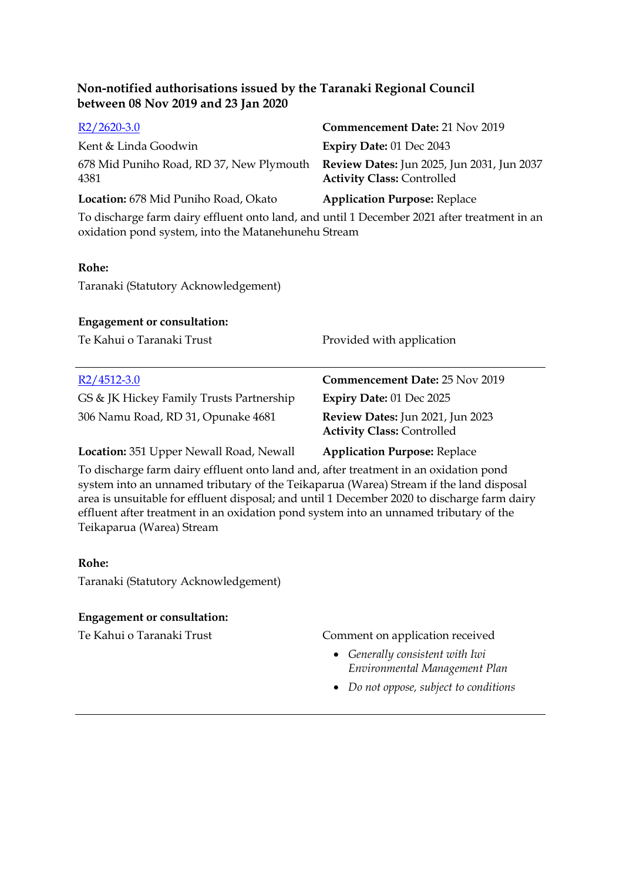| $R2/2620-3.0$                                    | <b>Commencement Date: 21 Nov 2019</b>                                                  |
|--------------------------------------------------|----------------------------------------------------------------------------------------|
| Kent & Linda Goodwin                             | <b>Expiry Date: 01 Dec 2043</b>                                                        |
| 678 Mid Puniho Road, RD 37, New Plymouth<br>4381 | <b>Review Dates:</b> Jun 2025, Jun 2031, Jun 2037<br><b>Activity Class: Controlled</b> |
| Location: 678 Mid Puniho Road, Okato             | <b>Application Purpose: Replace</b>                                                    |

To discharge farm dairy effluent onto land, and until 1 December 2021 after treatment in an oxidation pond system, into the Matanehunehu Stream

#### **Rohe:**

Taranaki (Statutory Acknowledgement)

#### **Engagement or consultation:**

| Te Kahui o Taranaki Trust                | Provided with application                                             |
|------------------------------------------|-----------------------------------------------------------------------|
| $R2/4512-3.0$                            | <b>Commencement Date: 25 Nov 2019</b>                                 |
| GS & JK Hickey Family Trusts Partnership | Expiry Date: 01 Dec 2025                                              |
| 306 Namu Road, RD 31, Opunake 4681       | Review Dates: Jun 2021, Jun 2023<br><b>Activity Class: Controlled</b> |

**Location:** 351 Upper Newall Road, Newall **Application Purpose:** Replace

To discharge farm dairy effluent onto land and, after treatment in an oxidation pond system into an unnamed tributary of the Teikaparua (Warea) Stream if the land disposal area is unsuitable for effluent disposal; and until 1 December 2020 to discharge farm dairy effluent after treatment in an oxidation pond system into an unnamed tributary of the Teikaparua (Warea) Stream

#### **Rohe:**

Taranaki (Statutory Acknowledgement)

#### **Engagement or consultation:**

Te Kahui o Taranaki Trust Comment on application received

- *Generally consistent with Iwi Environmental Management Plan*
- *Do not oppose, subject to conditions*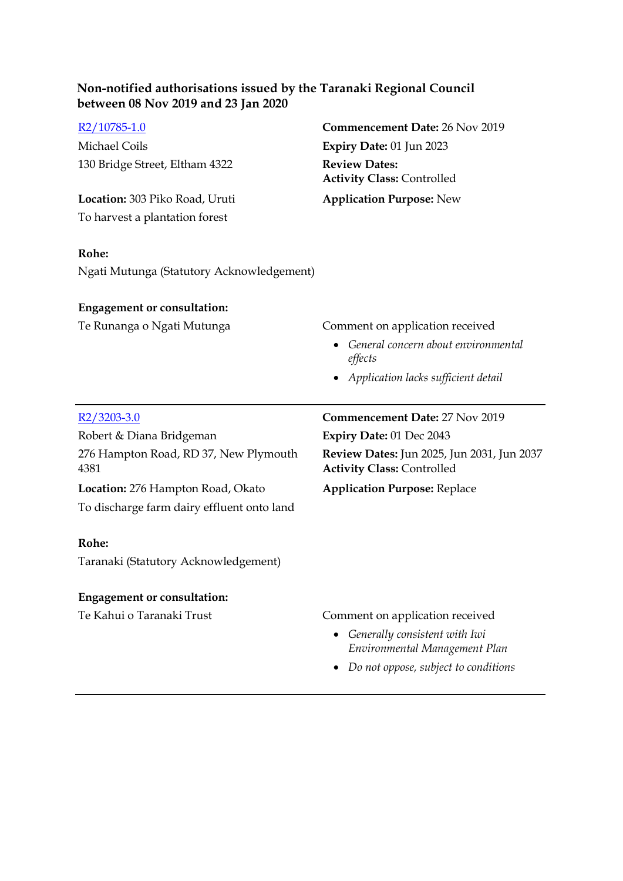|  | R2/10785-1.0 |
|--|--------------|
|--|--------------|

Michael Coils **Expiry Date:** 01 Jun 2023 130 Bridge Street, Eltham 4322 **Review Dates:**

**Location:** 303 Piko Road, Uruti **Application Purpose:** New To harvest a plantation forest

#### **Rohe:**

Ngati Mutunga (Statutory Acknowledgement)

#### **Engagement or consultation:**

Te Runanga o Ngati Mutunga<br>
Comment on application received

[R2/10785-1.0](http://irisprod.trc.govt.nz/IRISObjectRouter.aspx?IRISObjectID=781945) **Commencement Date:** 26 Nov 2019

**Activity Class:** Controlled

 *General concern about environmental effects* 

**Review Dates:** Jun 2025, Jun 2031, Jun 2037

**Activity Class:** Controlled

*Application lacks sufficient detail* 

#### [R2/3203-3.0](http://irisprod.trc.govt.nz/IRISObjectRouter.aspx?IRISObjectID=781962) **Commencement Date:** 27 Nov 2019

Robert & Diana Bridgeman **Expiry Date:** 01 Dec 2043 276 Hampton Road, RD 37, New Plymouth 4381

**Location:** 276 Hampton Road, Okato **Application Purpose:** Replace To discharge farm dairy effluent onto land

#### **Rohe:**

Taranaki (Statutory Acknowledgement)

#### **Engagement or consultation:**

#### Te Kahui o Taranaki Trust Comment on application received

- *Generally consistent with Iwi Environmental Management Plan*
- *Do not oppose, subject to conditions*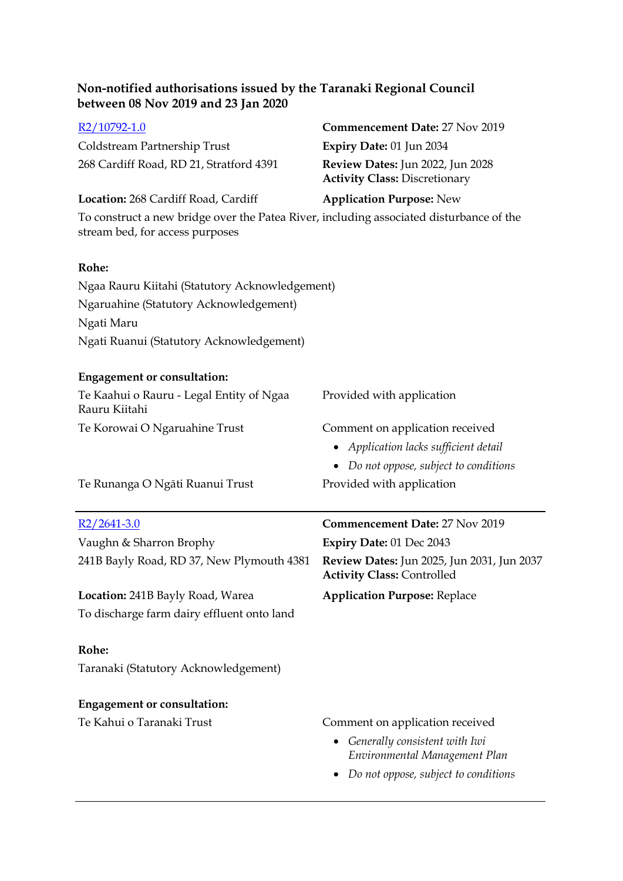| R <sub>2</sub> /10792-1.0                                                                                                  | Commencement Date: 27 Nov 2019                                                  |
|----------------------------------------------------------------------------------------------------------------------------|---------------------------------------------------------------------------------|
| Coldstream Partnership Trust                                                                                               | <b>Expiry Date: 01 Jun 2034</b>                                                 |
| 268 Cardiff Road, RD 21, Stratford 4391                                                                                    | Review Dates: Jun 2022, Jun 2028<br><b>Activity Class: Discretionary</b>        |
| Location: 268 Cardiff Road, Cardiff                                                                                        | <b>Application Purpose: New</b>                                                 |
| To construct a new bridge over the Patea River, including associated disturbance of the<br>stream bed, for access purposes |                                                                                 |
| Rohe:                                                                                                                      |                                                                                 |
| Ngaa Rauru Kiitahi (Statutory Acknowledgement)                                                                             |                                                                                 |
| Ngaruahine (Statutory Acknowledgement)                                                                                     |                                                                                 |
| Ngati Maru                                                                                                                 |                                                                                 |
| Ngati Ruanui (Statutory Acknowledgement)                                                                                   |                                                                                 |
| <b>Engagement or consultation:</b>                                                                                         |                                                                                 |
| Te Kaahui o Rauru - Legal Entity of Ngaa<br>Rauru Kiitahi                                                                  | Provided with application                                                       |
| Te Korowai O Ngaruahine Trust                                                                                              | Comment on application received                                                 |
|                                                                                                                            | • Application lacks sufficient detail                                           |
|                                                                                                                            | • Do not oppose, subject to conditions                                          |
| Te Runanga O Ngāti Ruanui Trust                                                                                            | Provided with application                                                       |
| $R2/2641-3.0$                                                                                                              | Commencement Date: 27 Nov 2019                                                  |
| Vaughn & Sharron Brophy                                                                                                    | Expiry Date: 01 Dec 2043                                                        |
| 241B Bayly Road, RD 37, New Plymouth 4381                                                                                  | Review Dates: Jun 2025, Jun 2031, Jun 2037<br><b>Activity Class: Controlled</b> |
| Location: 241B Bayly Road, Warea                                                                                           | <b>Application Purpose: Replace</b>                                             |

To discharge farm dairy effluent onto land

#### **Rohe:**

Taranaki (Statutory Acknowledgement)

# **Engagement or consultation:**

- Te Kahui o Taranaki Trust Comment on application received
	- *Generally consistent with Iwi Environmental Management Plan*
	- *Do not oppose, subject to conditions*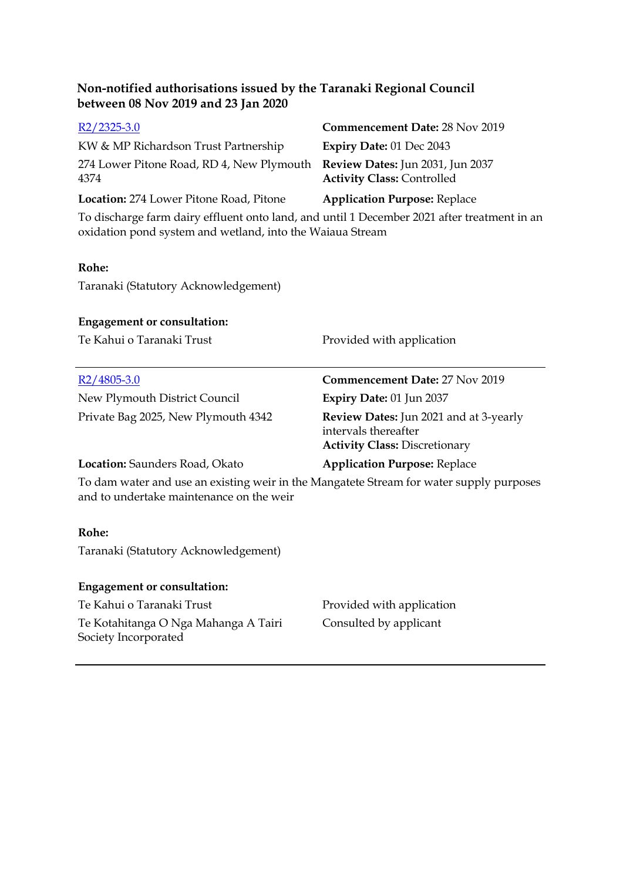| $R2/2325-3.0$<br>KW & MP Richardson Trust Partnership<br>274 Lower Pitone Road, RD 4, New Plymouth<br>4374<br>Location: 274 Lower Pitone Road, Pitone                                                     | Commencement Date: 28 Nov 2019<br>Expiry Date: 01 Dec 2043<br>Review Dates: Jun 2031, Jun 2037<br><b>Activity Class: Controlled</b><br><b>Application Purpose: Replace</b> |
|-----------------------------------------------------------------------------------------------------------------------------------------------------------------------------------------------------------|----------------------------------------------------------------------------------------------------------------------------------------------------------------------------|
| To discharge farm dairy effluent onto land, and until 1 December 2021 after treatment in an<br>oxidation pond system and wetland, into the Waiaua Stream<br>Rohe:<br>Taranaki (Statutory Acknowledgement) |                                                                                                                                                                            |
| <b>Engagement or consultation:</b>                                                                                                                                                                        |                                                                                                                                                                            |
| Te Kahui o Taranaki Trust                                                                                                                                                                                 | Provided with application                                                                                                                                                  |
| $R2/4805 - 3.0$                                                                                                                                                                                           | Commencement Date: 27 Nov 2019                                                                                                                                             |
| New Plymouth District Council                                                                                                                                                                             | Expiry Date: 01 Jun 2037                                                                                                                                                   |
|                                                                                                                                                                                                           |                                                                                                                                                                            |
| Private Bag 2025, New Plymouth 4342                                                                                                                                                                       | <b>Review Dates:</b> Jun 2021 and at 3-yearly<br>intervals thereafter<br><b>Activity Class: Discretionary</b>                                                              |
| Location: Saunders Road, Okato                                                                                                                                                                            | <b>Application Purpose: Replace</b>                                                                                                                                        |
| To dam water and use an existing weir in the Mangatete Stream for water supply purposes<br>and to undertake maintenance on the weir                                                                       |                                                                                                                                                                            |
| Rohe:                                                                                                                                                                                                     |                                                                                                                                                                            |
| Taranaki (Statutory Acknowledgement)                                                                                                                                                                      |                                                                                                                                                                            |
| <b>Engagement or consultation:</b>                                                                                                                                                                        |                                                                                                                                                                            |
| Te Kahui o Taranaki Trust                                                                                                                                                                                 | Provided with application                                                                                                                                                  |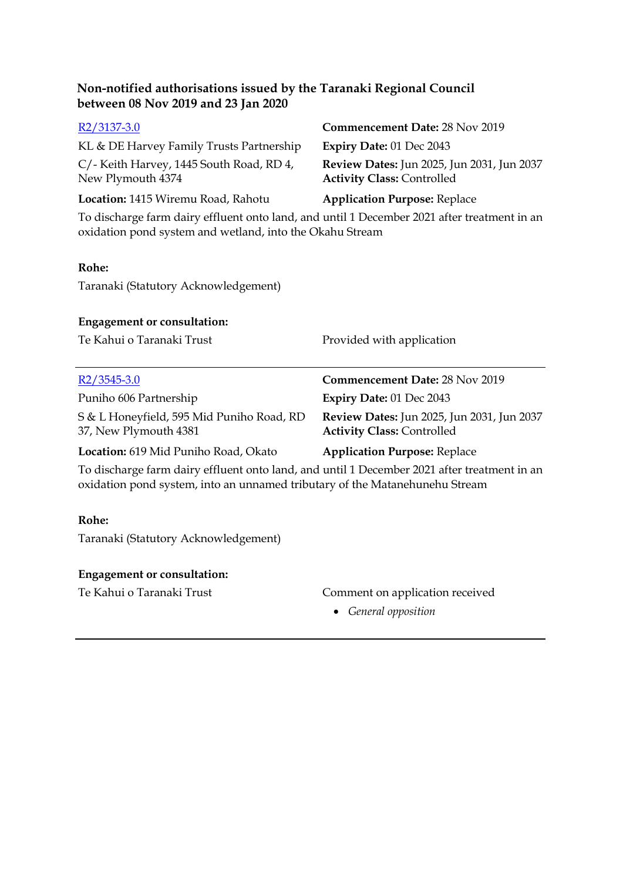| $R2/3137-3.0$                                                                                                                                           | <b>Commencement Date: 28 Nov 2019</b>                                                  |
|---------------------------------------------------------------------------------------------------------------------------------------------------------|----------------------------------------------------------------------------------------|
| KL & DE Harvey Family Trusts Partnership                                                                                                                | Expiry Date: 01 Dec 2043                                                               |
| C/- Keith Harvey, 1445 South Road, RD 4,<br>New Plymouth 4374                                                                                           | <b>Review Dates:</b> Jun 2025, Jun 2031, Jun 2037<br><b>Activity Class: Controlled</b> |
| Location: 1415 Wiremu Road, Rahotu                                                                                                                      | <b>Application Purpose: Replace</b>                                                    |
| To discharge farm dairy effluent onto land, and until 1 December 2021 after treatment in an<br>oxidation pond system and wetland, into the Okahu Stream |                                                                                        |
| Rohe:                                                                                                                                                   |                                                                                        |
| Taranaki (Statutory Acknowledgement)                                                                                                                    |                                                                                        |
| <b>Engagement or consultation:</b>                                                                                                                      |                                                                                        |
| Te Kahui o Taranaki Trust                                                                                                                               | Provided with application                                                              |
| $R2/3545-3.0$                                                                                                                                           | <b>Commencement Date: 28 Nov 2019</b>                                                  |
| Puniho 606 Partnership                                                                                                                                  | Expiry Date: 01 Dec 2043                                                               |
| S & L Honeyfield, 595 Mid Puniho Road, RD<br>37, New Plymouth 4381                                                                                      | <b>Review Dates:</b> Jun 2025, Jun 2031, Jun 2037<br><b>Activity Class: Controlled</b> |
| Location: 619 Mid Puniho Road, Okato                                                                                                                    | <b>Application Purpose: Replace</b>                                                    |
| To discharge farm dairy effluent onto land, and until 1 December 2021 after treatment in an                                                             |                                                                                        |

To discharge farm dairy effluent onto land, and until 1 December 2021 after treatment in an oxidation pond system, into an unnamed tributary of the Matanehunehu Stream

#### **Rohe:**

Taranaki (Statutory Acknowledgement)

#### **Engagement or consultation:**

### Te Kahui o Taranaki Trust Comment on application received

*General opposition*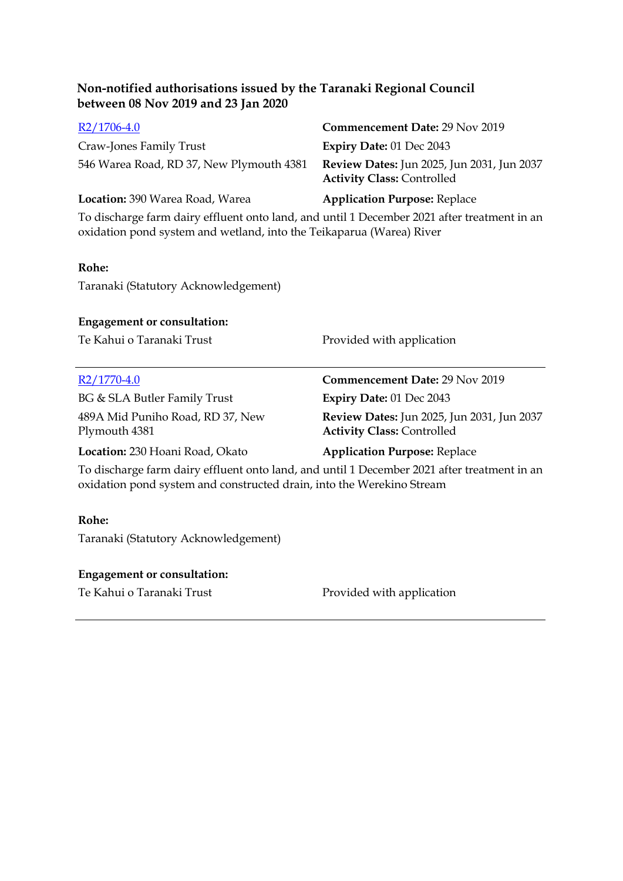| $R2/1706-4.0$                            | <b>Commencement Date: 29 Nov 2019</b>                                                  |
|------------------------------------------|----------------------------------------------------------------------------------------|
| Craw-Jones Family Trust                  | Expiry Date: $01$ Dec 2043                                                             |
| 546 Warea Road, RD 37, New Plymouth 4381 | <b>Review Dates:</b> Jun 2025, Jun 2031, Jun 2037<br><b>Activity Class: Controlled</b> |

#### **Location:** 390 Warea Road, Warea **Application Purpose:** Replace

To discharge farm dairy effluent onto land, and until 1 December 2021 after treatment in an oxidation pond system and wetland, into the Teikaparua (Warea) River

#### **Rohe:**

Taranaki (Statutory Acknowledgement)

#### **Engagement or consultation:**

Te Kahui o Taranaki Trust Provided with application

BG & SLA Butler Family Trust **Expiry Date:** 01 Dec 2043 489A Mid Puniho Road, RD 37, New Plymouth 4381

[R2/1770-4.0](http://irisprod.trc.govt.nz/IRISObjectRouter.aspx?IRISObjectID=782191) **Commencement Date:** 29 Nov 2019 **Review Dates:** Jun 2025, Jun 2031, Jun 2037 **Activity Class:** Controlled

**Location:** 230 Hoani Road, Okato **Application Purpose:** Replace

To discharge farm dairy effluent onto land, and until 1 December 2021 after treatment in an oxidation pond system and constructed drain, into the Werekino Stream

#### **Rohe:**

Taranaki (Statutory Acknowledgement)

#### **Engagement or consultation:**

Te Kahui o Taranaki Trust Provided with application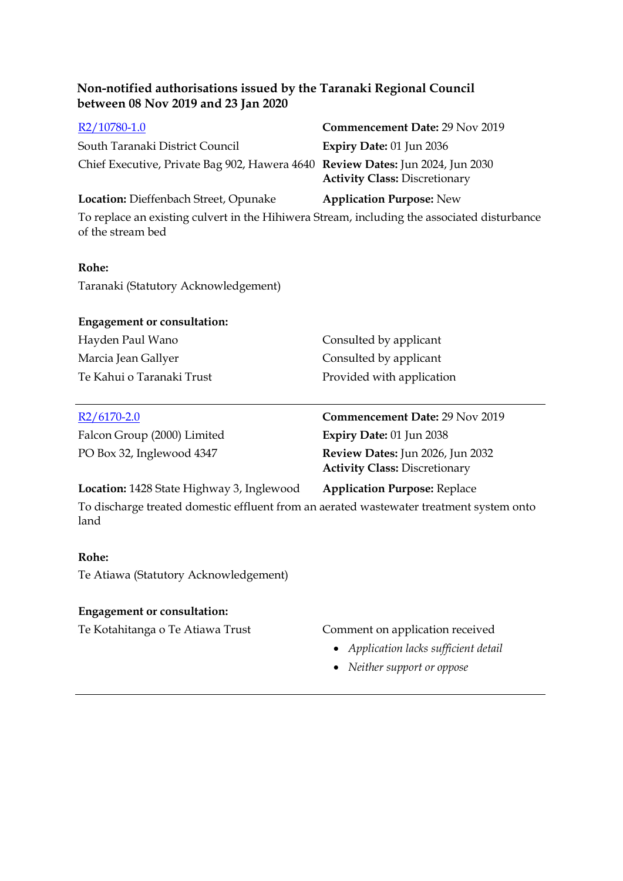| Commencement Date: 29 Nov 2019                                                                                         |
|------------------------------------------------------------------------------------------------------------------------|
| Expiry Date: 01 Jun 2036                                                                                               |
| Chief Executive, Private Bag 902, Hawera 4640 Review Dates: Jun 2024, Jun 2030<br><b>Activity Class: Discretionary</b> |
| <b>Application Purpose: New</b>                                                                                        |
| To replace an existing culvert in the Hihiwera Stream, including the associated disturbance                            |
|                                                                                                                        |

#### **Rohe:**

Taranaki (Statutory Acknowledgement)

#### **Engagement or consultation:**

| Hayden Paul Wano          | Consulted by applicant    |
|---------------------------|---------------------------|
| Marcia Jean Gallyer       | Consulted by applicant    |
| Te Kahui o Taranaki Trust | Provided with application |

Falcon Group (2000) Limited **Expiry Date:** 01 Jun 2038

[R2/6170-2.0](http://irisprod.trc.govt.nz/IRISObjectRouter.aspx?IRISObjectID=782227) **Commencement Date:** 29 Nov 2019 PO Box 32, Inglewood 4347 **Review Dates:** Jun 2026, Jun 2032 **Activity Class:** Discretionary

#### **Location:** 1428 State Highway 3, Inglewood **Application Purpose:** Replace

To discharge treated domestic effluent from an aerated wastewater treatment system onto land

#### **Rohe:**

Te Atiawa (Statutory Acknowledgement)

#### **Engagement or consultation:**

#### Te Kotahitanga o Te Atiawa Trust Comment on application received

- *Application lacks sufficient detail*
- *Neither support or oppose*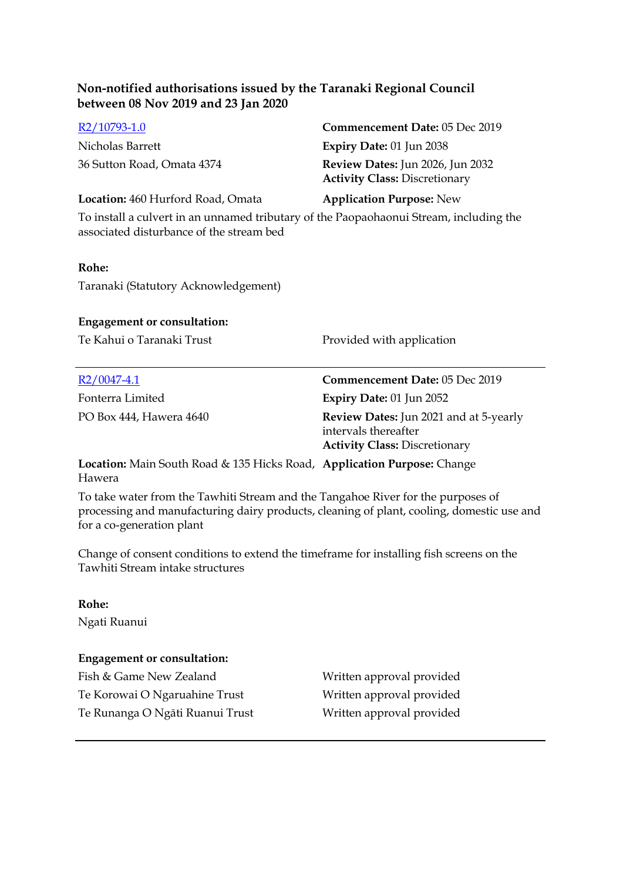| R2/10793-1.0                                                                                                                       | <b>Commencement Date: 05 Dec 2019</b>                                    |  |  |
|------------------------------------------------------------------------------------------------------------------------------------|--------------------------------------------------------------------------|--|--|
| Nicholas Barrett                                                                                                                   | Expiry Date: 01 Jun 2038                                                 |  |  |
| 36 Sutton Road, Omata 4374                                                                                                         | Review Dates: Jun 2026, Jun 2032<br><b>Activity Class: Discretionary</b> |  |  |
| Location: 460 Hurford Road, Omata                                                                                                  | <b>Application Purpose: New</b>                                          |  |  |
| To install a culvert in an unnamed tributary of the Paopaohaonui Stream, including the<br>associated disturbance of the stream bed |                                                                          |  |  |
| Rohe:                                                                                                                              |                                                                          |  |  |
| Taranaki (Statutory Acknowledgement)                                                                                               |                                                                          |  |  |
| <b>Engagement or consultation:</b>                                                                                                 |                                                                          |  |  |
| Te Kahui o Taranaki Trust                                                                                                          | Provided with application                                                |  |  |

| $R2/0047-4.1$                                                          | Commencement Date: 05 Dec 2019                                                                                |
|------------------------------------------------------------------------|---------------------------------------------------------------------------------------------------------------|
| Fonterra Limited                                                       | <b>Expiry Date: 01 Jun 2052</b>                                                                               |
| PO Box 444, Hawera 4640                                                | <b>Review Dates:</b> Jun 2021 and at 5-yearly<br>intervals thereafter<br><b>Activity Class: Discretionary</b> |
| Location: Main Couth Road & 125 Highs Road Annliastion Durageo: Change |                                                                                                               |

**Location:** Main South Road & 135 Hicks Road, **Application Purpose:** Change Hawera

To take water from the Tawhiti Stream and the Tangahoe River for the purposes of processing and manufacturing dairy products, cleaning of plant, cooling, domestic use and for a co-generation plant

Change of consent conditions to extend the timeframe for installing fish screens on the Tawhiti Stream intake structures

#### **Rohe:**

Ngati Ruanui

#### **Engagement or consultation:**

Fish & Game New Zealand Written approval provided Te Korowai O Ngaruahine Trust Written approval provided Te Runanga O Ngāti Ruanui Trust Written approval provided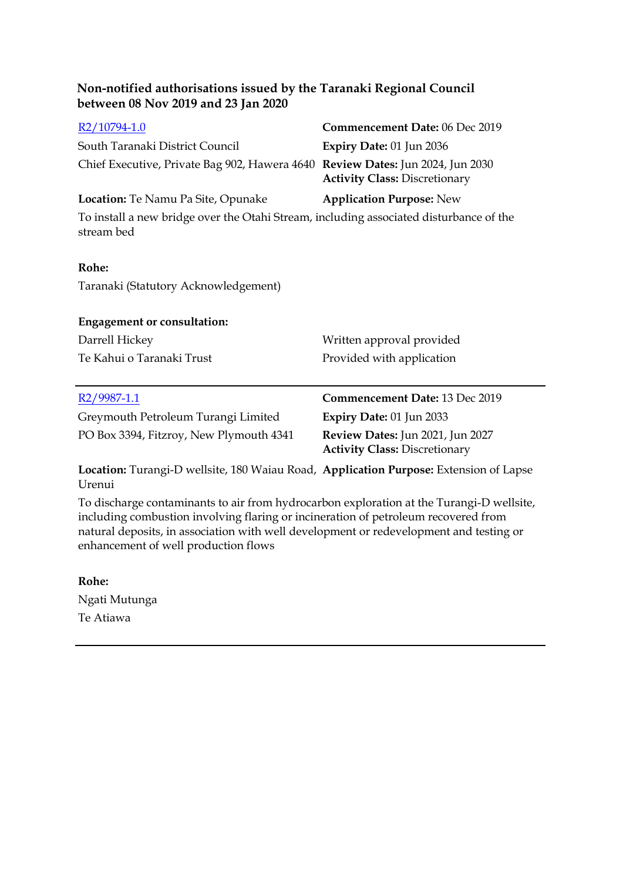| between 08 Nov 2019 and 23 Jan 2020                                                                                               |                                                                          |
|-----------------------------------------------------------------------------------------------------------------------------------|--------------------------------------------------------------------------|
| R2/10794-1.0<br>South Taranaki District Council<br>Chief Executive, Private Bag 902, Hawera 4640 Review Dates: Jun 2024, Jun 2030 | Commencement Date: 06 Dec 2019                                           |
|                                                                                                                                   | Expiry Date: 01 Jun 2036                                                 |
|                                                                                                                                   | <b>Activity Class: Discretionary</b>                                     |
| Location: Te Namu Pa Site, Opunake                                                                                                | <b>Application Purpose: New</b>                                          |
| To install a new bridge over the Otahi Stream, including associated disturbance of the<br>stream bed                              |                                                                          |
| Rohe:                                                                                                                             |                                                                          |
| Taranaki (Statutory Acknowledgement)                                                                                              |                                                                          |
| <b>Engagement or consultation:</b>                                                                                                |                                                                          |
| Darrell Hickey                                                                                                                    | Written approval provided                                                |
| Te Kahui o Taranaki Trust                                                                                                         | Provided with application                                                |
| $R2/9987-1.1$                                                                                                                     | Commencement Date: 13 Dec 2019                                           |
| Greymouth Petroleum Turangi Limited                                                                                               | Expiry Date: 01 Jun 2033                                                 |
| PO Box 3394, Fitzroy, New Plymouth 4341                                                                                           | Review Dates: Jun 2021, Jun 2027<br><b>Activity Class: Discretionary</b> |
| Location: Turangi-D wellsite, 180 Waiau Road, Application Purpose: Extension of Lapse<br>Urenui                                   |                                                                          |

**Non-notified authorisations issued by the Taranaki Regional Council** 

To discharge contaminants to air from hydrocarbon exploration at the Turangi-D wellsite, including combustion involving flaring or incineration of petroleum recovered from natural deposits, in association with well development or redevelopment and testing or enhancement of well production flows

**Rohe:** Ngati Mutunga Te Atiawa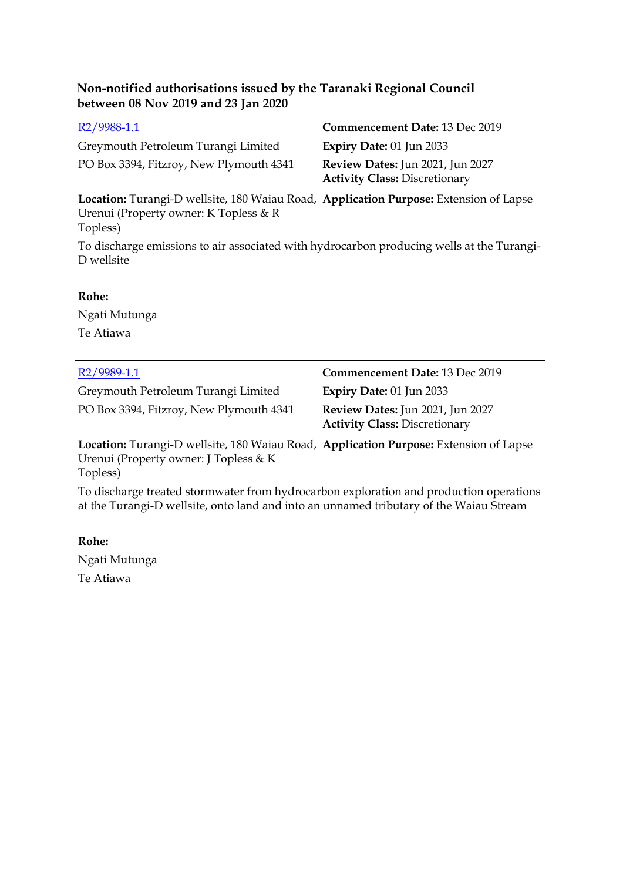Greymouth Petroleum Turangi Limited **Expiry Date:** 01 Jun 2033 PO Box 3394, Fitzroy, New Plymouth 4341 **Review Dates:** Jun 2021, Jun 2027

[R2/9988-1.1](http://irisprod.trc.govt.nz/IRISObjectRouter.aspx?IRISObjectID=783380) **Commencement Date:** 13 Dec 2019 **Activity Class:** Discretionary

**Location:** Turangi-D wellsite, 180 Waiau Road, **Application Purpose:** Extension of Lapse Urenui (Property owner: K Topless & R Topless)

To discharge emissions to air associated with hydrocarbon producing wells at the Turangi-D wellsite

#### **Rohe:**

Ngati Mutunga Te Atiawa

| R <sub>2</sub> /9989-1.1                                                                                                                   | Commencement Date: 13 Dec 2019                                           |
|--------------------------------------------------------------------------------------------------------------------------------------------|--------------------------------------------------------------------------|
| Greymouth Petroleum Turangi Limited                                                                                                        | Expiry Date: 01 Jun 2033                                                 |
| PO Box 3394, Fitzroy, New Plymouth 4341                                                                                                    | Review Dates: Jun 2021, Jun 2027<br><b>Activity Class: Discretionary</b> |
| Location: Turangi-D wellsite, 180 Waiau Road, Application Purpose: Extension of Lapse<br>Urenui (Property owner: J Topless & K<br>Topless) |                                                                          |
| To discharge treated stormwater from hydrocarbon exploration and production operations                                                     |                                                                          |

at the Turangi-D wellsite, onto land and into an unnamed tributary of the Waiau Stream

**Rohe:** Ngati Mutunga Te Atiawa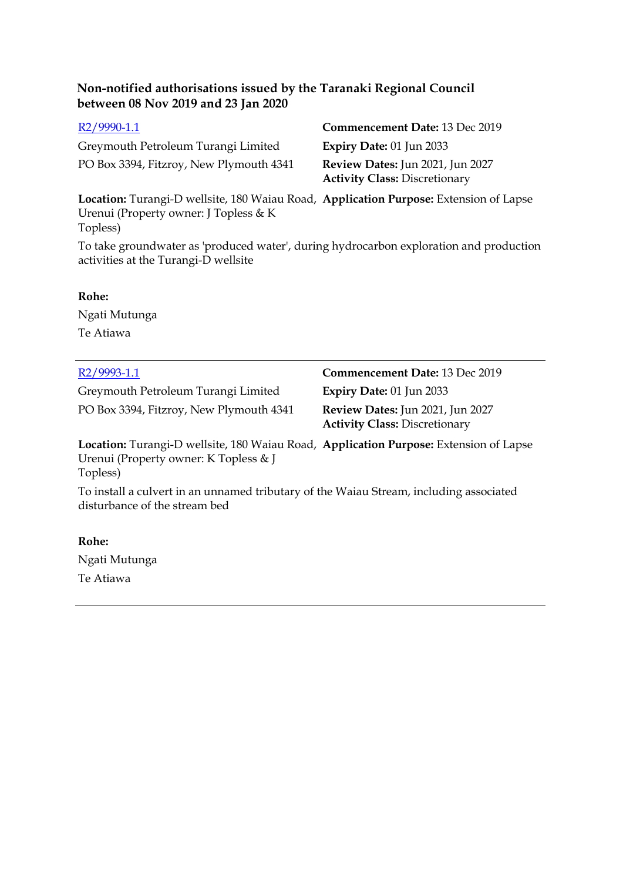Greymouth Petroleum Turangi Limited **Expiry Date:** 01 Jun 2033 PO Box 3394, Fitzroy, New Plymouth 4341 **Review Dates:** Jun 2021, Jun 2027

[R2/9990-1.1](http://irisprod.trc.govt.nz/IRISObjectRouter.aspx?IRISObjectID=783382) **Commencement Date:** 13 Dec 2019 **Activity Class:** Discretionary

**Location:** Turangi-D wellsite, 180 Waiau Road, **Application Purpose:** Extension of Lapse Urenui (Property owner: J Topless & K Topless)

To take groundwater as 'produced water', during hydrocarbon exploration and production activities at the Turangi-D wellsite

#### **Rohe:**

Ngati Mutunga Te Atiawa

| R2/9993-1.1                                                                                                                                | <b>Commencement Date: 13 Dec 2019</b>                                    |  |
|--------------------------------------------------------------------------------------------------------------------------------------------|--------------------------------------------------------------------------|--|
| Greymouth Petroleum Turangi Limited                                                                                                        | Expiry Date: $01$ Jun 2033                                               |  |
| PO Box 3394, Fitzroy, New Plymouth 4341                                                                                                    | Review Dates: Jun 2021, Jun 2027<br><b>Activity Class: Discretionary</b> |  |
| Location: Turangi-D wellsite, 180 Waiau Road, Application Purpose: Extension of Lapse<br>Urenui (Property owner: K Topless & J<br>Topless) |                                                                          |  |
| To install a culvert in an unnamed tributary of the Waiau Stream, including associated<br>disturbance of the stream bed                    |                                                                          |  |
| Rohe:                                                                                                                                      |                                                                          |  |

Ngati Mutunga Te Atiawa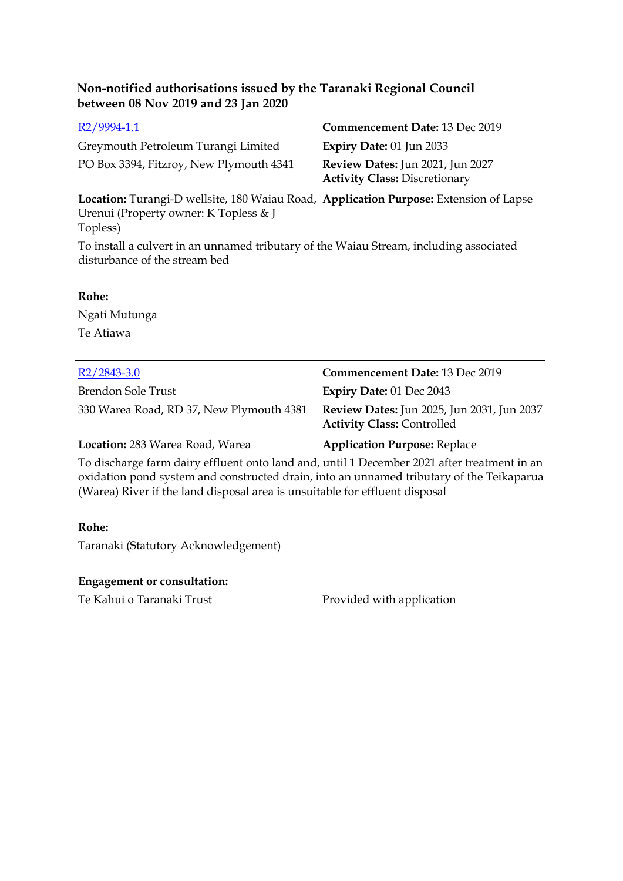Greymouth Petroleum Turangi Limited **Expiry Date:** 01 Jun 2033 PO Box 3394, Fitzroy, New Plymouth 4341 **Review Dates:** Jun 2021, Jun 2027

[R2/9994-1.1](http://irisprod.trc.govt.nz/IRISObjectRouter.aspx?IRISObjectID=783384) **Commencement Date:** 13 Dec 2019 **Activity Class:** Discretionary

**Location:** Turangi-D wellsite, 180 Waiau Road, **Application Purpose:** Extension of Lapse Urenui (Property owner: K Topless & J Topless)

To install a culvert in an unnamed tributary of the Waiau Stream, including associated disturbance of the stream bed

#### **Rohe:**

Ngati Mutunga Te Atiawa

| $R2/2843-3.0$                            | <b>Commencement Date: 13 Dec 2019</b>                                                  |
|------------------------------------------|----------------------------------------------------------------------------------------|
| Brendon Sole Trust                       | <b>Expiry Date: 01 Dec 2043</b>                                                        |
| 330 Warea Road, RD 37, New Plymouth 4381 | <b>Review Dates:</b> Jun 2025, Jun 2031, Jun 2037<br><b>Activity Class: Controlled</b> |
| Location: 283 Warea Road, Warea          | <b>Application Purpose: Replace</b>                                                    |

To discharge farm dairy effluent onto land and, until 1 December 2021 after treatment in an oxidation pond system and constructed drain, into an unnamed tributary of the Teikaparua (Warea) River if the land disposal area is unsuitable for effluent disposal

#### **Rohe:**

Taranaki (Statutory Acknowledgement)

#### **Engagement or consultation:**

Te Kahui o Taranaki Trust Provided with application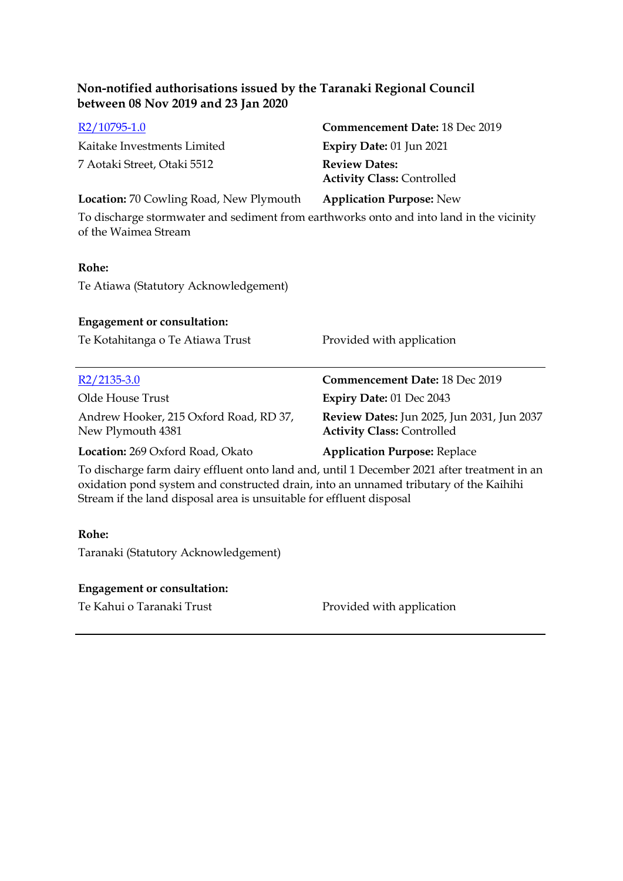| between 08 Nov 2019 and 23 Jan 2020                                                                             |                                                                                 |
|-----------------------------------------------------------------------------------------------------------------|---------------------------------------------------------------------------------|
| $R2/10795-1.0$                                                                                                  | Commencement Date: 18 Dec 2019                                                  |
| Kaitake Investments Limited                                                                                     | Expiry Date: 01 Jun 2021                                                        |
| 7 Aotaki Street, Otaki 5512                                                                                     | <b>Review Dates:</b><br><b>Activity Class: Controlled</b>                       |
| <b>Location:</b> 70 Cowling Road, New Plymouth                                                                  | <b>Application Purpose: New</b>                                                 |
| To discharge stormwater and sediment from earthworks onto and into land in the vicinity<br>of the Waimea Stream |                                                                                 |
| Rohe:                                                                                                           |                                                                                 |
| Te Atiawa (Statutory Acknowledgement)                                                                           |                                                                                 |
| <b>Engagement or consultation:</b>                                                                              |                                                                                 |
| Te Kotahitanga o Te Atiawa Trust                                                                                | Provided with application                                                       |
| $R2/2135-3.0$                                                                                                   | <b>Commencement Date: 18 Dec 2019</b>                                           |
| Olde House Trust                                                                                                | <b>Expiry Date: 01 Dec 2043</b>                                                 |
| Andrew Hooker, 215 Oxford Road, RD 37,<br>New Plymouth 4381                                                     | Review Dates: Jun 2025, Jun 2031, Jun 2037<br><b>Activity Class: Controlled</b> |
| Location: 269 Oxford Road, Okato                                                                                | <b>Application Purpose: Replace</b>                                             |
| To discharge farm dairy effluent onto land and, until 1 December 2021 after treatment in an                     |                                                                                 |

**Non-notified authorisations issued by the Taranaki Regional Council** 

To discharge farm dairy effluent onto land and, until 1 December 2021 after treatment in an oxidation pond system and constructed drain, into an unnamed tributary of the Kaihihi Stream if the land disposal area is unsuitable for effluent disposal

#### **Rohe:**

Taranaki (Statutory Acknowledgement)

### **Engagement or consultation:**

Te Kahui o Taranaki Trust Provided with application

 $\mathcal{L}_{\mathcal{A}}$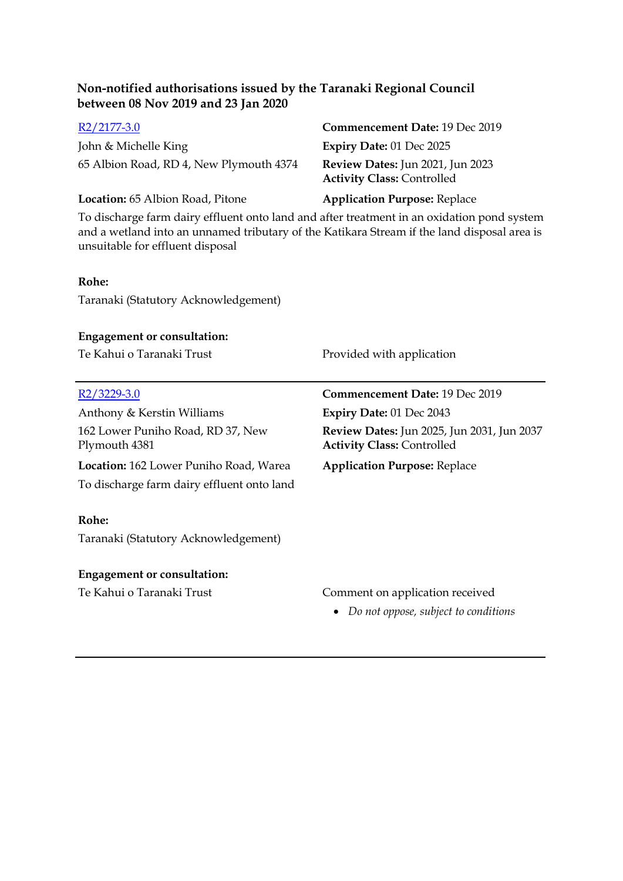| R2/2177-3.0                                                                                                                                                                                                                   | Commencement Date: 19 Dec 2019                                                  |
|-------------------------------------------------------------------------------------------------------------------------------------------------------------------------------------------------------------------------------|---------------------------------------------------------------------------------|
| John & Michelle King                                                                                                                                                                                                          | Expiry Date: 01 Dec 2025                                                        |
| 65 Albion Road, RD 4, New Plymouth 4374                                                                                                                                                                                       | Review Dates: Jun 2021, Jun 2023<br><b>Activity Class: Controlled</b>           |
| Location: 65 Albion Road, Pitone                                                                                                                                                                                              | <b>Application Purpose: Replace</b>                                             |
| To discharge farm dairy effluent onto land and after treatment in an oxidation pond system<br>and a wetland into an unnamed tributary of the Katikara Stream if the land disposal area is<br>unsuitable for effluent disposal |                                                                                 |
| Rohe:                                                                                                                                                                                                                         |                                                                                 |
| Taranaki (Statutory Acknowledgement)                                                                                                                                                                                          |                                                                                 |
|                                                                                                                                                                                                                               |                                                                                 |
| <b>Engagement or consultation:</b>                                                                                                                                                                                            |                                                                                 |
| Te Kahui o Taranaki Trust                                                                                                                                                                                                     | Provided with application                                                       |
|                                                                                                                                                                                                                               |                                                                                 |
| R <sub>2</sub> /3229-3.0                                                                                                                                                                                                      | Commencement Date: 19 Dec 2019                                                  |
| Anthony & Kerstin Williams                                                                                                                                                                                                    | Expiry Date: 01 Dec 2043                                                        |
| 162 Lower Puniho Road, RD 37, New<br>Plymouth 4381                                                                                                                                                                            | Review Dates: Jun 2025, Jun 2031, Jun 2037<br><b>Activity Class: Controlled</b> |
| Location: 162 Lower Puniho Road, Warea                                                                                                                                                                                        | <b>Application Purpose: Replace</b>                                             |
| To discharge farm dairy effluent onto land                                                                                                                                                                                    |                                                                                 |
| Rohe:                                                                                                                                                                                                                         |                                                                                 |
| Taranaki (Statutory Acknowledgement)                                                                                                                                                                                          |                                                                                 |
| <b>Engagement or consultation:</b>                                                                                                                                                                                            |                                                                                 |
| Te Kahui o Taranaki Trust                                                                                                                                                                                                     | Comment on application received                                                 |
|                                                                                                                                                                                                                               | • Do not oppose, subject to conditions                                          |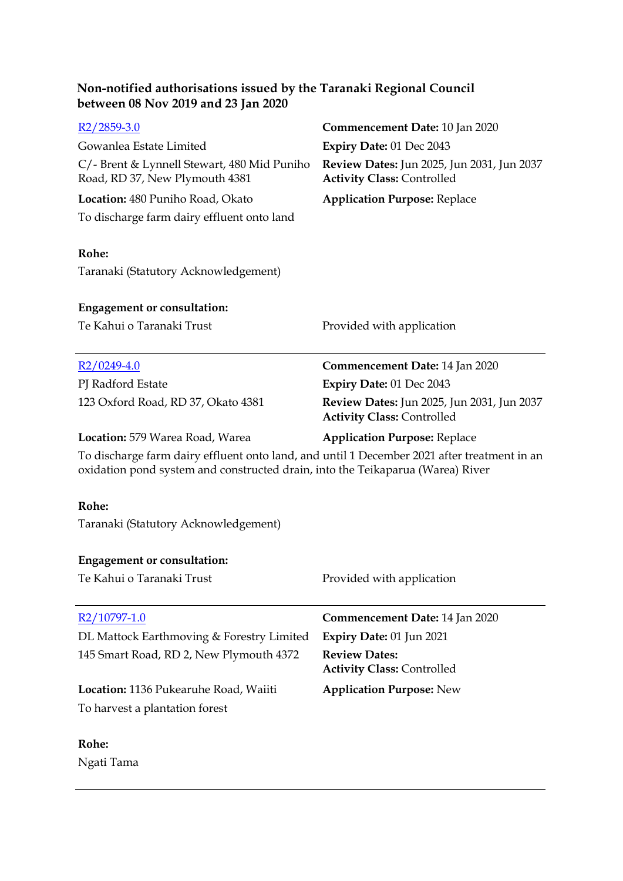| Non-notified authorisations issued by the Taranaki Regional Council |  |
|---------------------------------------------------------------------|--|
| between 08 Nov 2019 and 23 Jan 2020                                 |  |

| $R2/2859-3.0$                                                                                                                                                                 | <b>Commencement Date: 10 Jan 2020</b>                                           |
|-------------------------------------------------------------------------------------------------------------------------------------------------------------------------------|---------------------------------------------------------------------------------|
| Gowanlea Estate Limited                                                                                                                                                       | Expiry Date: 01 Dec 2043                                                        |
| C/- Brent & Lynnell Stewart, 480 Mid Puniho<br>Road, RD 37, New Plymouth 4381                                                                                                 | Review Dates: Jun 2025, Jun 2031, Jun 2037<br><b>Activity Class: Controlled</b> |
| Location: 480 Puniho Road, Okato                                                                                                                                              | <b>Application Purpose: Replace</b>                                             |
| To discharge farm dairy effluent onto land                                                                                                                                    |                                                                                 |
| Rohe:                                                                                                                                                                         |                                                                                 |
| Taranaki (Statutory Acknowledgement)                                                                                                                                          |                                                                                 |
| <b>Engagement or consultation:</b>                                                                                                                                            |                                                                                 |
| Te Kahui o Taranaki Trust                                                                                                                                                     | Provided with application                                                       |
| $R2/0249-4.0$                                                                                                                                                                 | Commencement Date: 14 Jan 2020                                                  |
| PJ Radford Estate                                                                                                                                                             | Expiry Date: 01 Dec 2043                                                        |
| 123 Oxford Road, RD 37, Okato 4381                                                                                                                                            | Review Dates: Jun 2025, Jun 2031, Jun 2037<br><b>Activity Class: Controlled</b> |
| Location: 579 Warea Road, Warea                                                                                                                                               | <b>Application Purpose: Replace</b>                                             |
| To discharge farm dairy effluent onto land, and until 1 December 2021 after treatment in an<br>oxidation pond system and constructed drain, into the Teikaparua (Warea) River |                                                                                 |
| Rohe:                                                                                                                                                                         |                                                                                 |
| Taranaki (Statutory Acknowledgement)                                                                                                                                          |                                                                                 |
| <b>Engagement or consultation:</b>                                                                                                                                            |                                                                                 |
| Te Kahui o Taranaki Trust                                                                                                                                                     | Provided with application                                                       |
| $R2/10797-1.0$                                                                                                                                                                | Commencement Date: 14 Jan 2020                                                  |
| DL Mattock Earthmoving & Forestry Limited                                                                                                                                     | Expiry Date: 01 Jun 2021                                                        |
| 145 Smart Road, RD 2, New Plymouth 4372                                                                                                                                       | <b>Review Dates:</b><br><b>Activity Class: Controlled</b>                       |
| Location: 1136 Pukearuhe Road, Waiiti                                                                                                                                         | <b>Application Purpose: New</b>                                                 |
| To harvest a plantation forest                                                                                                                                                |                                                                                 |
| Rohe:                                                                                                                                                                         |                                                                                 |
|                                                                                                                                                                               |                                                                                 |

Ngati Tama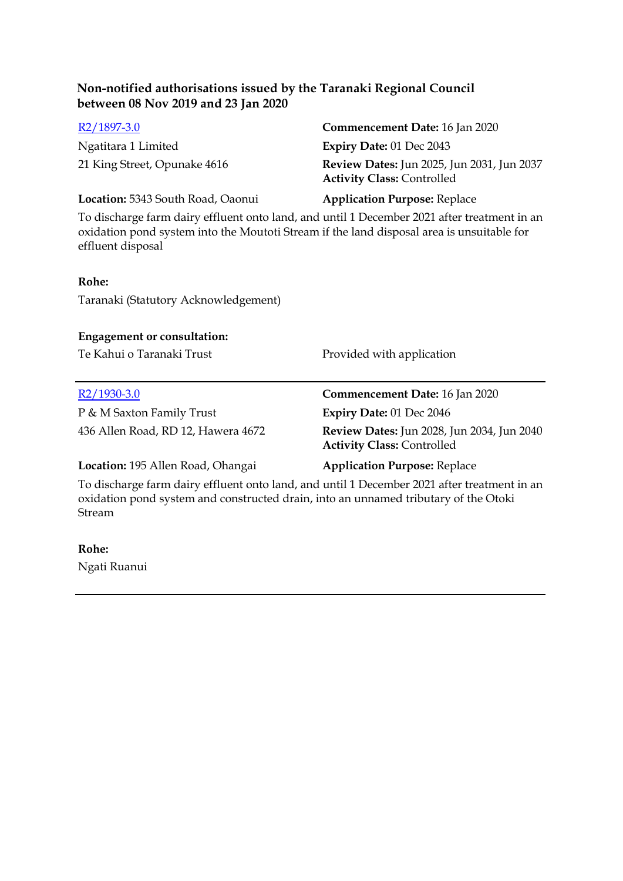| $R2/1897-3.0$                     | <b>Commencement Date: 16 Jan 2020</b>                                                  |
|-----------------------------------|----------------------------------------------------------------------------------------|
| Ngatitara 1 Limited               | Expiry Date: 01 Dec 2043                                                               |
| 21 King Street, Opunake 4616      | <b>Review Dates:</b> Jun 2025, Jun 2031, Jun 2037<br><b>Activity Class: Controlled</b> |
| Location: 5343 South Road, Oaonui | <b>Application Purpose: Replace</b>                                                    |

To discharge farm dairy effluent onto land, and until 1 December 2021 after treatment in an oxidation pond system into the Moutoti Stream if the land disposal area is unsuitable for effluent disposal

#### **Rohe:**

Taranaki (Statutory Acknowledgement)

#### **Engagement or consultation:**

Te Kahui o Taranaki Trust **Provided with application** 

P & M Saxton Family Trust **Expiry Date:** 01 Dec 2046

[R2/1930-3.0](http://irisprod.trc.govt.nz/IRISObjectRouter.aspx?IRISObjectID=785045) **Commencement Date:** 16 Jan 2020

436 Allen Road, RD 12, Hawera 4672 **Review Dates:** Jun 2028, Jun 2034, Jun 2040 **Activity Class:** Controlled

**Location:** 195 Allen Road, Ohangai **Application Purpose:** Replace

To discharge farm dairy effluent onto land, and until 1 December 2021 after treatment in an oxidation pond system and constructed drain, into an unnamed tributary of the Otoki Stream

#### **Rohe:**

Ngati Ruanui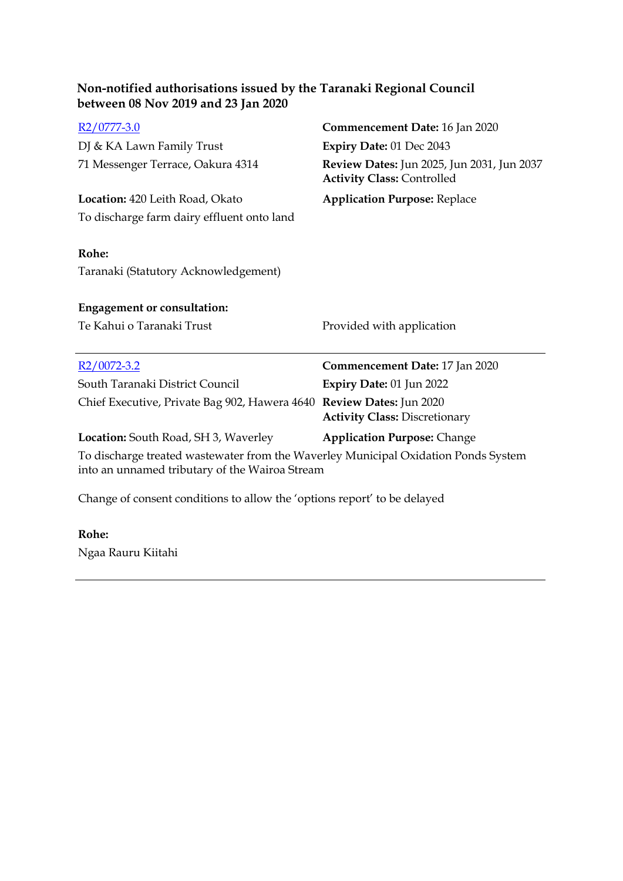| Non-notified authorisations issued by the Taranaki Regional Council |  |
|---------------------------------------------------------------------|--|
| between 08 Nov 2019 and 23 Jan 2020                                 |  |

| $R2/0777-3.0$                                                                                                                        | Commencement Date: 16 Jan 2020                                                  |
|--------------------------------------------------------------------------------------------------------------------------------------|---------------------------------------------------------------------------------|
| DJ & KA Lawn Family Trust                                                                                                            | Expiry Date: 01 Dec 2043                                                        |
| 71 Messenger Terrace, Oakura 4314                                                                                                    | Review Dates: Jun 2025, Jun 2031, Jun 2037<br><b>Activity Class: Controlled</b> |
| Location: 420 Leith Road, Okato                                                                                                      | <b>Application Purpose: Replace</b>                                             |
| To discharge farm dairy effluent onto land                                                                                           |                                                                                 |
| Rohe:<br>Taranaki (Statutory Acknowledgement)                                                                                        |                                                                                 |
| <b>Engagement or consultation:</b>                                                                                                   |                                                                                 |
|                                                                                                                                      |                                                                                 |
| Te Kahui o Taranaki Trust                                                                                                            | Provided with application                                                       |
|                                                                                                                                      |                                                                                 |
| $R2/0072 - 3.2$                                                                                                                      | Commencement Date: 17 Jan 2020                                                  |
| South Taranaki District Council                                                                                                      | Expiry Date: 01 Jun 2022                                                        |
| Chief Executive, Private Bag 902, Hawera 4640 Review Dates: Jun 2020                                                                 |                                                                                 |
|                                                                                                                                      | <b>Activity Class: Discretionary</b>                                            |
| <b>Location:</b> South Road, SH 3, Waverley                                                                                          | <b>Application Purpose: Change</b>                                              |
| To discharge treated wastewater from the Waverley Municipal Oxidation Ponds System<br>into an unnamed tributary of the Wairoa Stream |                                                                                 |

### **Rohe:**

Ngaa Rauru Kiitahi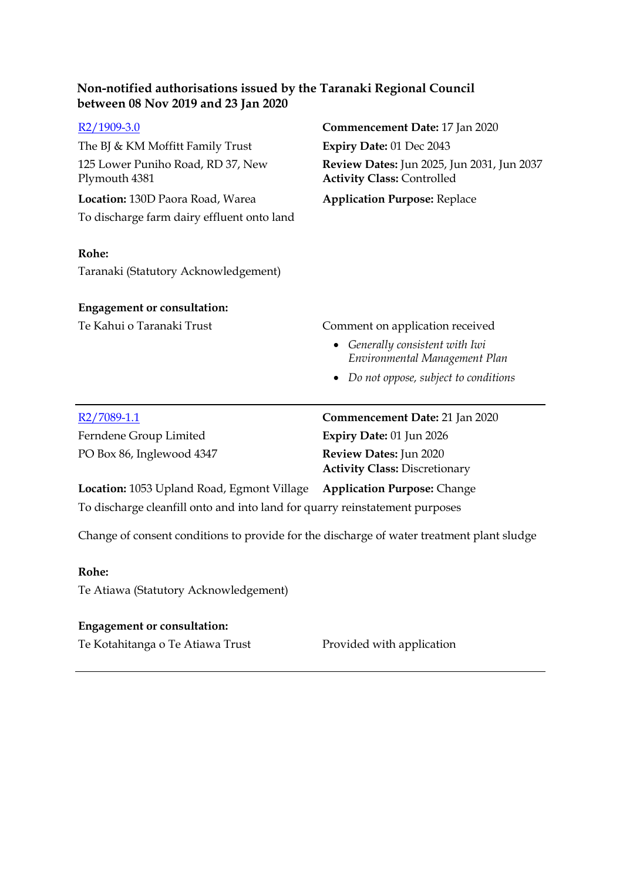| $R2/1909-3.0$                                                                             | Commencement Date: 17 Jan 2020                                                  |
|-------------------------------------------------------------------------------------------|---------------------------------------------------------------------------------|
| The BJ & KM Moffitt Family Trust                                                          | Expiry Date: 01 Dec 2043                                                        |
| 125 Lower Puniho Road, RD 37, New<br>Plymouth 4381                                        | Review Dates: Jun 2025, Jun 2031, Jun 2037<br><b>Activity Class: Controlled</b> |
| Location: 130D Paora Road, Warea                                                          | <b>Application Purpose: Replace</b>                                             |
| To discharge farm dairy effluent onto land                                                |                                                                                 |
| Rohe:                                                                                     |                                                                                 |
| Taranaki (Statutory Acknowledgement)                                                      |                                                                                 |
| <b>Engagement or consultation:</b>                                                        |                                                                                 |
| Te Kahui o Taranaki Trust                                                                 | Comment on application received                                                 |
|                                                                                           | • Generally consistent with Iwi<br>Environmental Management Plan                |
|                                                                                           | Do not oppose, subject to conditions                                            |
|                                                                                           |                                                                                 |
| $R2/7089-1.1$                                                                             | Commencement Date: 21 Jan 2020                                                  |
| Ferndene Group Limited                                                                    | Expiry Date: 01 Jun 2026                                                        |
| PO Box 86, Inglewood 4347                                                                 | Review Dates: Jun 2020<br><b>Activity Class: Discretionary</b>                  |
| Location: 1053 Upland Road, Egmont Village Application Purpose: Change                    |                                                                                 |
| To discharge cleanfill onto and into land for quarry reinstatement purposes               |                                                                                 |
| Change of consent conditions to provide for the discharge of water treatment plant sludge |                                                                                 |

### **Rohe:**

Te Atiawa (Statutory Acknowledgement)

### **Engagement or consultation:**

Te Kotahitanga o Te Atiawa Trust Provided with application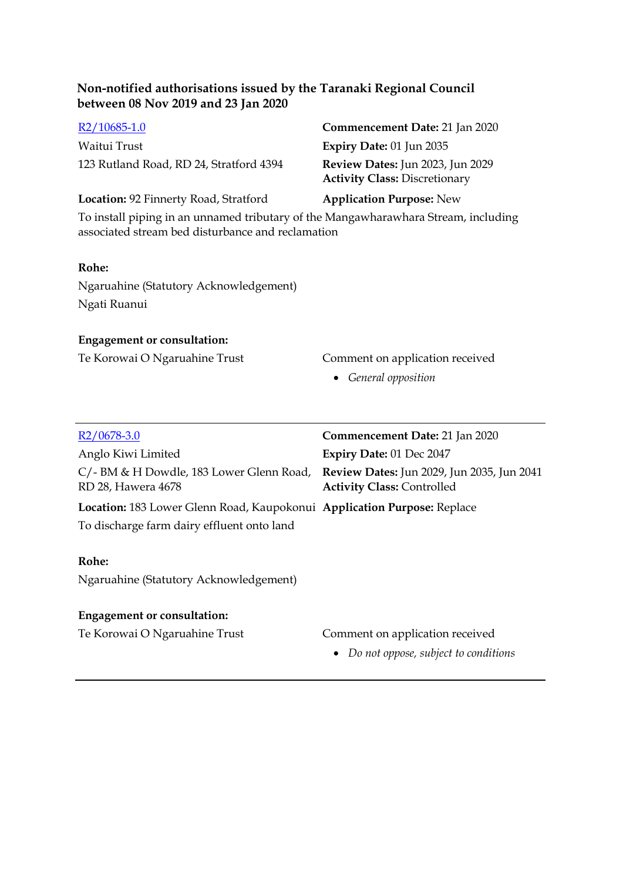Waitui Trust **Expiry Date:** 01 Jun 2035 123 Rutland Road, RD 24, Stratford 4394 **Review Dates:** Jun 2023, Jun 2029

# [R2/10685-1.0](http://irisprod.trc.govt.nz/IRISObjectRouter.aspx?IRISObjectID=785471) **Commencement Date:** 21 Jan 2020 **Activity Class:** Discretionary

**Location:** 92 Finnerty Road, Stratford **Application Purpose:** New

To install piping in an unnamed tributary of the Mangawharawhara Stream, including associated stream bed disturbance and reclamation

#### **Rohe:**

Ngaruahine (Statutory Acknowledgement) Ngati Ruanui

#### **Engagement or consultation:**

#### Te Korowai O Ngaruahine Trust Comment on application received

*General opposition* 

| $R2/0678-3.0$                                                                                             | Commencement Date: 21 Jan 2020         |
|-----------------------------------------------------------------------------------------------------------|----------------------------------------|
| Anglo Kiwi Limited                                                                                        | Expiry Date: 01 Dec 2047               |
| C/- BM & H Dowdle, 183 Lower Glenn Road, Review Dates: Jun 2029, Jun 2035, Jun 2041<br>RD 28, Hawera 4678 | <b>Activity Class: Controlled</b>      |
| Location: 183 Lower Glenn Road, Kaupokonui Application Purpose: Replace                                   |                                        |
| To discharge farm dairy effluent onto land                                                                |                                        |
|                                                                                                           |                                        |
| Rohe:                                                                                                     |                                        |
| Ngaruahine (Statutory Acknowledgement)                                                                    |                                        |
|                                                                                                           |                                        |
| <b>Engagement or consultation:</b>                                                                        |                                        |
| Te Korowai O Ngaruahine Trust                                                                             | Comment on application received        |
|                                                                                                           | • Do not oppose, subject to conditions |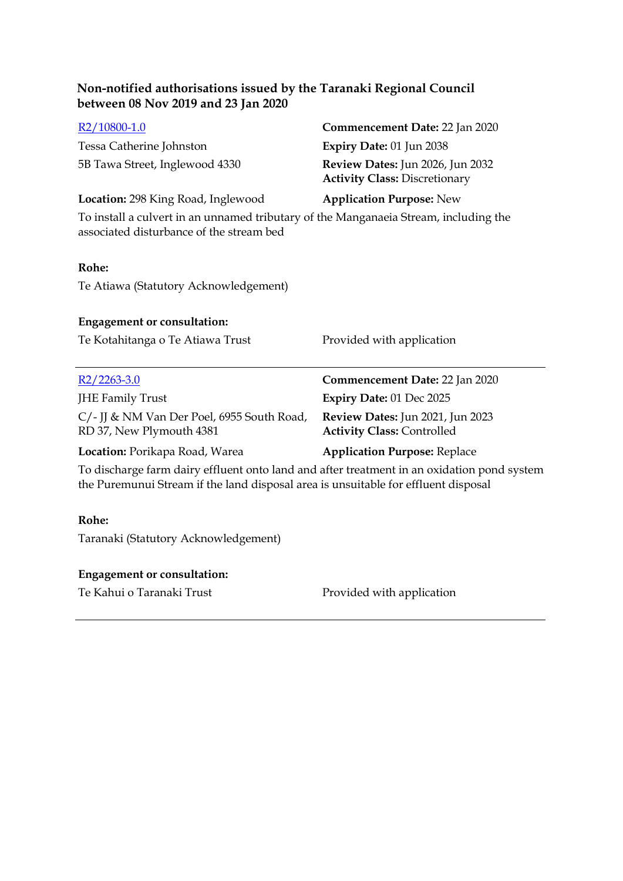# [R2/10800-1.0](http://irisprod.trc.govt.nz/IRISObjectRouter.aspx?IRISObjectID=785614) **Commencement Date:** 22 Jan 2020 Tessa Catherine Johnston **Expiry Date:** 01 Jun 2038 5B Tawa Street, Inglewood 4330 **Review Dates:** Jun 2026, Jun 2032 **Activity Class:** Discretionary **Location:** 298 King Road, Inglewood **Application Purpose:** New To install a culvert in an unnamed tributary of the Manganaeia Stream, including the associated disturbance of the stream bed **Rohe:** Te Atiawa (Statutory Acknowledgement) **Engagement or consultation:** Te Kotahitanga o Te Atiawa Trust Provided with application [R2/2263-3.0](http://irisprod.trc.govt.nz/IRISObjectRouter.aspx?IRISObjectID=785652) **Commencement Date:** 22 Jan 2020 JHE Family Trust **Expiry Date:** 01 Dec 2025 C/- JJ & NM Van Der Poel, 6955 South Road, RD 37, New Plymouth 4381 **Review Dates:** Jun 2021, Jun 2023 **Activity Class:** Controlled **Location:** Porikapa Road, Warea **Application Purpose:** Replace

To discharge farm dairy effluent onto land and after treatment in an oxidation pond system the Puremunui Stream if the land disposal area is unsuitable for effluent disposal

#### **Rohe:**

Taranaki (Statutory Acknowledgement)

#### **Engagement or consultation:**

Te Kahui o Taranaki Trust Provided with application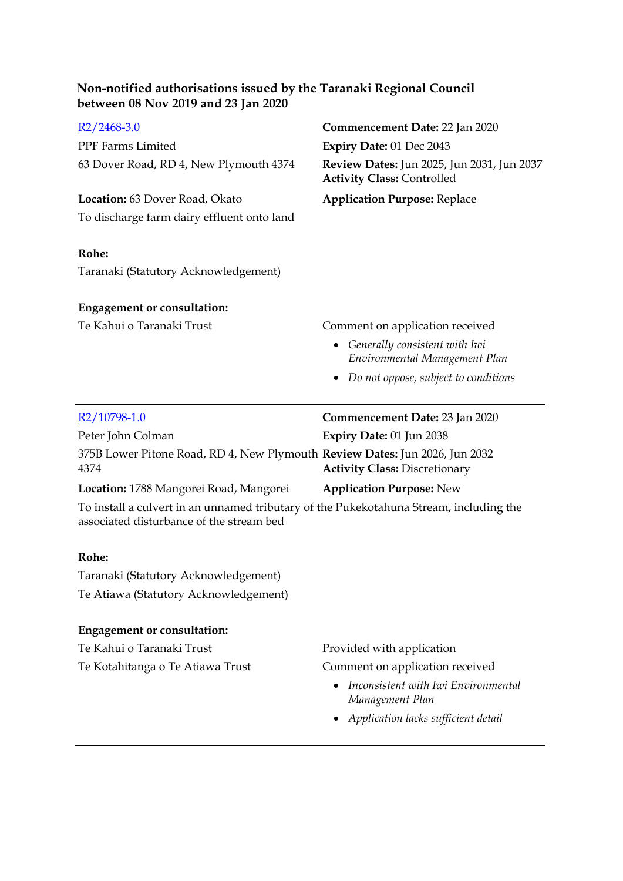| $R2/2468-3.0$                                                                                                                      | Commencement Date: 22 Jan 2020                                                  |
|------------------------------------------------------------------------------------------------------------------------------------|---------------------------------------------------------------------------------|
| PPF Farms Limited                                                                                                                  | Expiry Date: 01 Dec 2043                                                        |
| 63 Dover Road, RD 4, New Plymouth 4374                                                                                             | Review Dates: Jun 2025, Jun 2031, Jun 2037<br><b>Activity Class: Controlled</b> |
| Location: 63 Dover Road, Okato                                                                                                     | <b>Application Purpose: Replace</b>                                             |
| To discharge farm dairy effluent onto land                                                                                         |                                                                                 |
| Rohe:                                                                                                                              |                                                                                 |
| Taranaki (Statutory Acknowledgement)                                                                                               |                                                                                 |
| <b>Engagement or consultation:</b>                                                                                                 |                                                                                 |
| Te Kahui o Taranaki Trust                                                                                                          | Comment on application received                                                 |
|                                                                                                                                    | Generally consistent with Iwi<br>Environmental Management Plan                  |
|                                                                                                                                    | Do not oppose, subject to conditions                                            |
|                                                                                                                                    |                                                                                 |
| R <sub>2</sub> /10798-1.0                                                                                                          | Commencement Date: 23 Jan 2020                                                  |
| Peter John Colman                                                                                                                  | Expiry Date: 01 Jun 2038                                                        |
| 375B Lower Pitone Road, RD 4, New Plymouth Review Dates: Jun 2026, Jun 2032<br>4374                                                | <b>Activity Class: Discretionary</b>                                            |
| Location: 1788 Mangorei Road, Mangorei                                                                                             | <b>Application Purpose: New</b>                                                 |
| To install a culvert in an unnamed tributary of the Pukekotahuna Stream, including the<br>associated disturbance of the stream bed |                                                                                 |
| Rohe:                                                                                                                              |                                                                                 |
| Taranaki (Statutory Acknowledgement)                                                                                               |                                                                                 |
| Te Atiawa (Statutory Acknowledgement)                                                                                              |                                                                                 |
| <b>Engagement or consultation:</b>                                                                                                 |                                                                                 |
| Te Kahui o Taranaki Trust                                                                                                          | Provided with application                                                       |

- *Inconsistent with Iwi Environmental Management Plan*
- *Application lacks sufficient detail*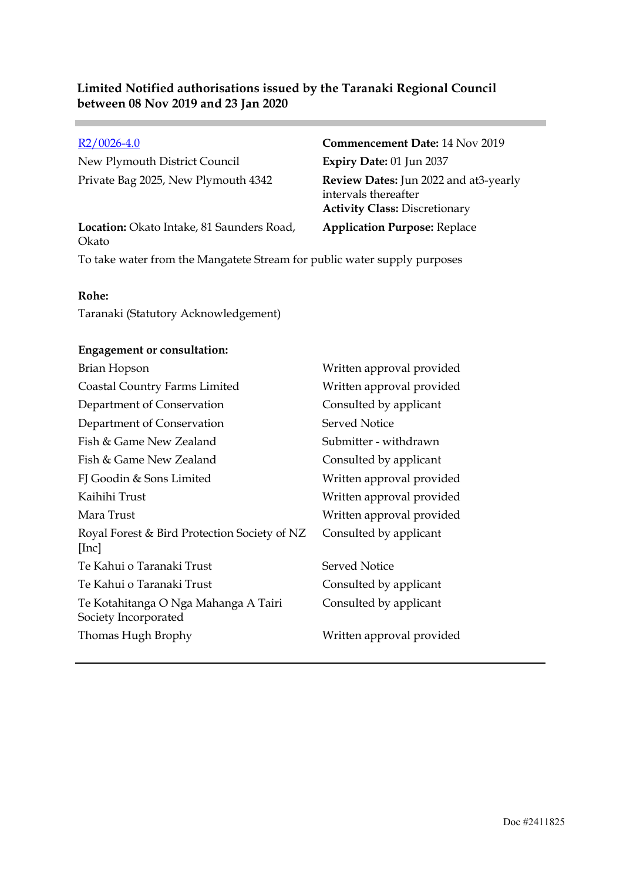New Plymouth District Council **Expiry Date:** 01 Jun 2037

**Location:** Okato Intake, 81 Saunders Road, Okato

[R2/0026-4.0](http://irisprod.trc.govt.nz/IRISObjectRouter.aspx?IRISObjectID=779399) **Commencement Date:** 14 Nov 2019 Private Bag 2025, New Plymouth 4342 **Review Dates:** Jun 2022 and at3-yearly intervals thereafter **Activity Class:** Discretionary **Application Purpose:** Replace

To take water from the Mangatete Stream for public water supply purposes

#### **Rohe:**

Taranaki (Statutory Acknowledgement)

#### **Engagement or consultation:**

| Brian Hopson                                                 | Written approval provided |
|--------------------------------------------------------------|---------------------------|
| Coastal Country Farms Limited                                | Written approval provided |
| Department of Conservation                                   | Consulted by applicant    |
| Department of Conservation                                   | Served Notice             |
| Fish & Game New Zealand                                      | Submitter - withdrawn     |
| Fish & Game New Zealand                                      | Consulted by applicant    |
| FJ Goodin & Sons Limited                                     | Written approval provided |
| Kaihihi Trust                                                | Written approval provided |
| Mara Trust                                                   | Written approval provided |
| Royal Forest & Bird Protection Society of NZ<br>[Inc]        | Consulted by applicant    |
| Te Kahui o Taranaki Trust                                    | Served Notice             |
| Te Kahui o Taranaki Trust                                    | Consulted by applicant    |
| Te Kotahitanga O Nga Mahanga A Tairi<br>Society Incorporated | Consulted by applicant    |
| Thomas Hugh Brophy                                           | Written approval provided |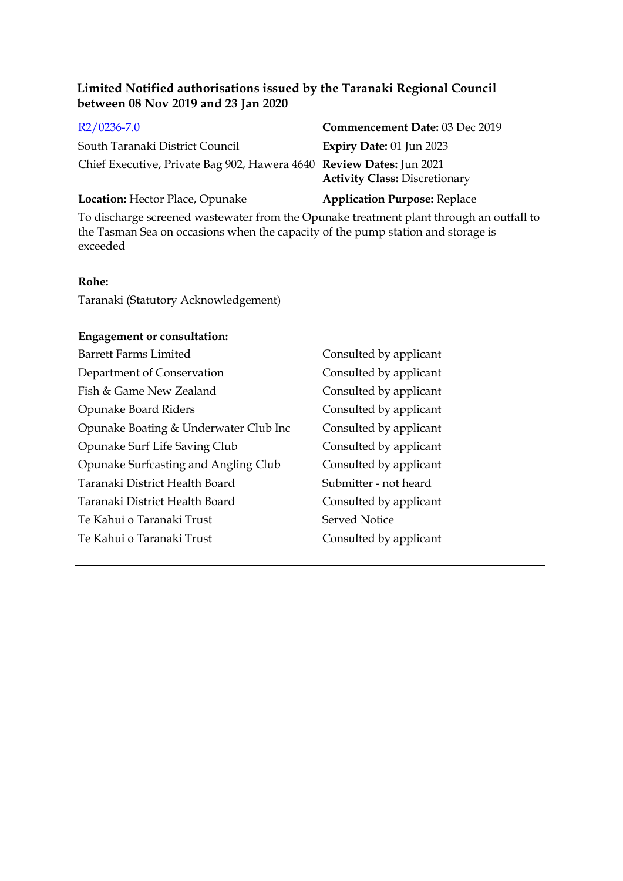South Taranaki District Council **Expiry Date:** 01 Jun 2023 Chief Executive, Private Bag 902, Hawera 4640 **Review Dates:** Jun 2021

# [R2/0236-7.0](http://irisprod.trc.govt.nz/IRISObjectRouter.aspx?IRISObjectID=780761) **Commencement Date:** 03 Dec 2019

**Activity Class:** Discretionary

#### **Location:** Hector Place, Opunake **Application Purpose:** Replace

To discharge screened wastewater from the Opunake treatment plant through an outfall to the Tasman Sea on occasions when the capacity of the pump station and storage is exceeded

#### **Rohe:**

Taranaki (Statutory Acknowledgement)

#### **Engagement or consultation:**

Barrett Farms Limited Consulted by applicant Department of Conservation Consulted by applicant Fish & Game New Zealand Consulted by applicant Opunake Board Riders Consulted by applicant Opunake Boating & Underwater Club Inc Consulted by applicant Opunake Surf Life Saving Club Consulted by applicant Opunake Surfcasting and Angling Club Consulted by applicant Taranaki District Health Board Submitter - not heard Taranaki District Health Board Consulted by applicant Te Kahui o Taranaki Trust Served Notice Te Kahui o Taranaki Trust Consulted by applicant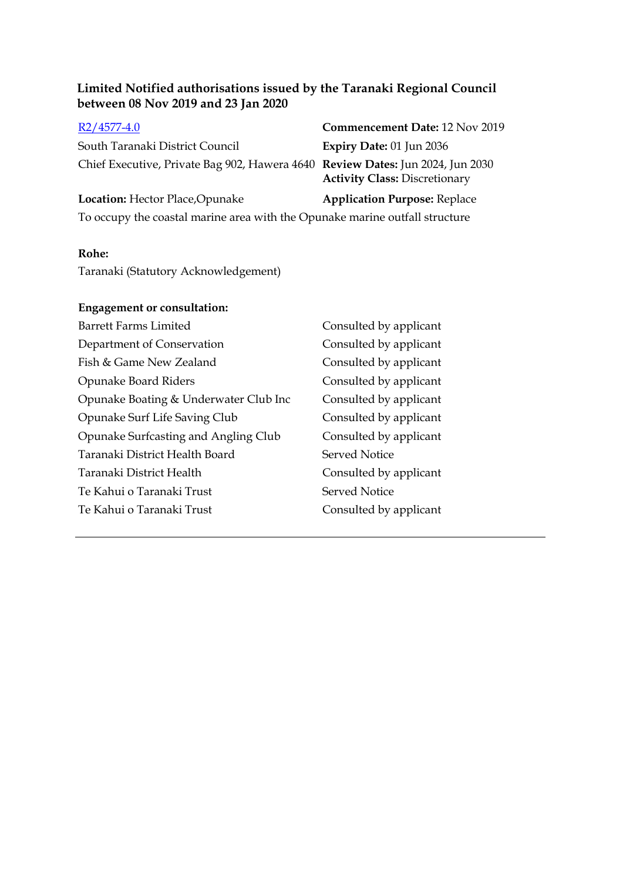| $R2/4577-4.0$                                                                  | <b>Commencement Date: 12 Nov 2019</b> |
|--------------------------------------------------------------------------------|---------------------------------------|
| South Taranaki District Council                                                | Expiry Date: $01$ Jun 2036            |
| Chief Executive, Private Bag 902, Hawera 4640 Review Dates: Jun 2024, Jun 2030 | <b>Activity Class: Discretionary</b>  |
| Location: Hector Place, Opunake                                                | <b>Application Purpose: Replace</b>   |

To occupy the coastal marine area with the Opunake marine outfall structure

#### **Rohe:**

Taranaki (Statutory Acknowledgement)

### **Engagement or consultation:**

| <b>Barrett Farms Limited</b>          | Consulted by applicant |
|---------------------------------------|------------------------|
| Department of Conservation            | Consulted by applicant |
| Fish & Game New Zealand               | Consulted by applicant |
| Opunake Board Riders                  | Consulted by applicant |
| Opunake Boating & Underwater Club Inc | Consulted by applicant |
| Opunake Surf Life Saving Club         | Consulted by applicant |
| Opunake Surfcasting and Angling Club  | Consulted by applicant |
| Taranaki District Health Board        | <b>Served Notice</b>   |
| Taranaki District Health              | Consulted by applicant |
| Te Kahui o Taranaki Trust             | <b>Served Notice</b>   |
| Te Kahui o Taranaki Trust             | Consulted by applicant |
|                                       |                        |